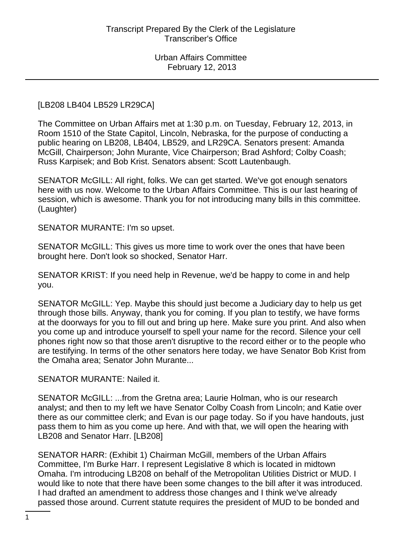### [LB208 LB404 LB529 LR29CA]

The Committee on Urban Affairs met at 1:30 p.m. on Tuesday, February 12, 2013, in Room 1510 of the State Capitol, Lincoln, Nebraska, for the purpose of conducting a public hearing on LB208, LB404, LB529, and LR29CA. Senators present: Amanda McGill, Chairperson; John Murante, Vice Chairperson; Brad Ashford; Colby Coash; Russ Karpisek; and Bob Krist. Senators absent: Scott Lautenbaugh.

SENATOR McGILL: All right, folks. We can get started. We've got enough senators here with us now. Welcome to the Urban Affairs Committee. This is our last hearing of session, which is awesome. Thank you for not introducing many bills in this committee. (Laughter)

SENATOR MURANTE: I'm so upset.

SENATOR McGILL: This gives us more time to work over the ones that have been brought here. Don't look so shocked, Senator Harr.

SENATOR KRIST: If you need help in Revenue, we'd be happy to come in and help you.

SENATOR McGILL: Yep. Maybe this should just become a Judiciary day to help us get through those bills. Anyway, thank you for coming. If you plan to testify, we have forms at the doorways for you to fill out and bring up here. Make sure you print. And also when you come up and introduce yourself to spell your name for the record. Silence your cell phones right now so that those aren't disruptive to the record either or to the people who are testifying. In terms of the other senators here today, we have Senator Bob Krist from the Omaha area; Senator John Murante...

SENATOR MURANTE: Nailed it.

SENATOR McGILL: ...from the Gretna area; Laurie Holman, who is our research analyst; and then to my left we have Senator Colby Coash from Lincoln; and Katie over there as our committee clerk; and Evan is our page today. So if you have handouts, just pass them to him as you come up here. And with that, we will open the hearing with LB208 and Senator Harr. [LB208]

SENATOR HARR: (Exhibit 1) Chairman McGill, members of the Urban Affairs Committee, I'm Burke Harr. I represent Legislative 8 which is located in midtown Omaha. I'm introducing LB208 on behalf of the Metropolitan Utilities District or MUD. I would like to note that there have been some changes to the bill after it was introduced. I had drafted an amendment to address those changes and I think we've already passed those around. Current statute requires the president of MUD to be bonded and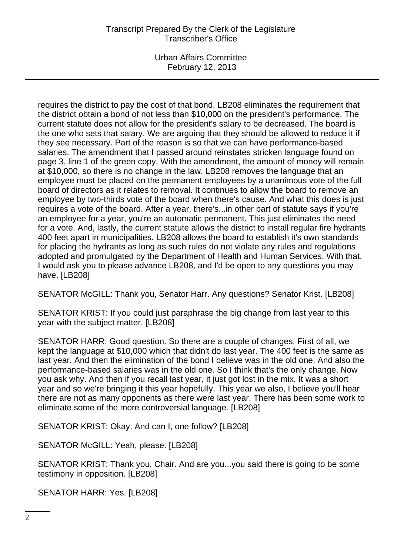Urban Affairs Committee February 12, 2013

requires the district to pay the cost of that bond. LB208 eliminates the requirement that the district obtain a bond of not less than \$10,000 on the president's performance. The current statute does not allow for the president's salary to be decreased. The board is the one who sets that salary. We are arguing that they should be allowed to reduce it if they see necessary. Part of the reason is so that we can have performance-based salaries. The amendment that I passed around reinstates stricken language found on page 3, line 1 of the green copy. With the amendment, the amount of money will remain at \$10,000, so there is no change in the law. LB208 removes the language that an employee must be placed on the permanent employees by a unanimous vote of the full board of directors as it relates to removal. It continues to allow the board to remove an employee by two-thirds vote of the board when there's cause. And what this does is just requires a vote of the board. After a year, there's...in other part of statute says if you're an employee for a year, you're an automatic permanent. This just eliminates the need for a vote. And, lastly, the current statute allows the district to install regular fire hydrants 400 feet apart in municipalities. LB208 allows the board to establish it's own standards for placing the hydrants as long as such rules do not violate any rules and regulations adopted and promulgated by the Department of Health and Human Services. With that, I would ask you to please advance LB208, and I'd be open to any questions you may have. [LB208]

SENATOR McGILL: Thank you, Senator Harr. Any questions? Senator Krist. [LB208]

SENATOR KRIST: If you could just paraphrase the big change from last year to this year with the subject matter. [LB208]

SENATOR HARR: Good question. So there are a couple of changes. First of all, we kept the language at \$10,000 which that didn't do last year. The 400 feet is the same as last year. And then the elimination of the bond I believe was in the old one. And also the performance-based salaries was in the old one. So I think that's the only change. Now you ask why. And then if you recall last year, it just got lost in the mix. It was a short year and so we're bringing it this year hopefully. This year we also, I believe you'll hear there are not as many opponents as there were last year. There has been some work to eliminate some of the more controversial language. [LB208]

SENATOR KRIST: Okay. And can I, one follow? [LB208]

SENATOR McGILL: Yeah, please. [LB208]

SENATOR KRIST: Thank you, Chair. And are you...you said there is going to be some testimony in opposition. [LB208]

SENATOR HARR: Yes. [LB208]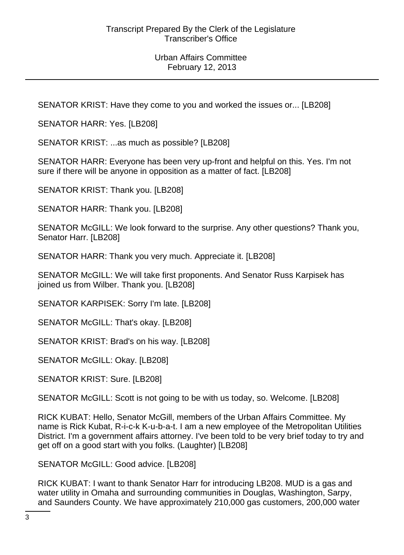SENATOR KRIST: Have they come to you and worked the issues or... [LB208]

SENATOR HARR: Yes. [LB208]

SENATOR KRIST: ...as much as possible? [LB208]

SENATOR HARR: Everyone has been very up-front and helpful on this. Yes. I'm not sure if there will be anyone in opposition as a matter of fact. [LB208]

SENATOR KRIST: Thank you. [LB208]

SENATOR HARR: Thank you. [LB208]

SENATOR McGILL: We look forward to the surprise. Any other questions? Thank you, Senator Harr. [LB208]

SENATOR HARR: Thank you very much. Appreciate it. [LB208]

SENATOR McGILL: We will take first proponents. And Senator Russ Karpisek has joined us from Wilber. Thank you. [LB208]

SENATOR KARPISEK: Sorry I'm late. [LB208]

SENATOR McGILL: That's okay. [LB208]

SENATOR KRIST: Brad's on his way. [LB208]

SENATOR McGILL: Okay. [LB208]

SENATOR KRIST: Sure. [LB208]

SENATOR McGILL: Scott is not going to be with us today, so. Welcome. [LB208]

RICK KUBAT: Hello, Senator McGill, members of the Urban Affairs Committee. My name is Rick Kubat, R-i-c-k K-u-b-a-t. I am a new employee of the Metropolitan Utilities District. I'm a government affairs attorney. I've been told to be very brief today to try and get off on a good start with you folks. (Laughter) [LB208]

SENATOR McGILL: Good advice. [LB208]

RICK KUBAT: I want to thank Senator Harr for introducing LB208. MUD is a gas and water utility in Omaha and surrounding communities in Douglas, Washington, Sarpy, and Saunders County. We have approximately 210,000 gas customers, 200,000 water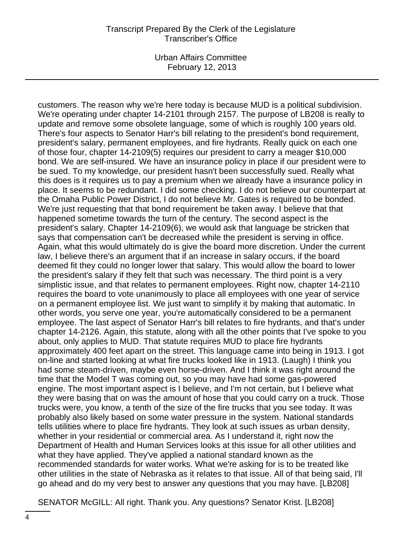Urban Affairs Committee February 12, 2013

customers. The reason why we're here today is because MUD is a political subdivision. We're operating under chapter 14-2101 through 2157. The purpose of LB208 is really to update and remove some obsolete language, some of which is roughly 100 years old. There's four aspects to Senator Harr's bill relating to the president's bond requirement, president's salary, permanent employees, and fire hydrants. Really quick on each one of those four, chapter 14-2109(5) requires our president to carry a meager \$10,000 bond. We are self-insured. We have an insurance policy in place if our president were to be sued. To my knowledge, our president hasn't been successfully sued. Really what this does is it requires us to pay a premium when we already have a insurance policy in place. It seems to be redundant. I did some checking. I do not believe our counterpart at the Omaha Public Power District, I do not believe Mr. Gates is required to be bonded. We're just requesting that that bond requirement be taken away. I believe that that happened sometime towards the turn of the century. The second aspect is the president's salary. Chapter 14-2109(6), we would ask that language be stricken that says that compensation can't be decreased while the president is serving in office. Again, what this would ultimately do is give the board more discretion. Under the current law, I believe there's an argument that if an increase in salary occurs, if the board deemed fit they could no longer lower that salary. This would allow the board to lower the president's salary if they felt that such was necessary. The third point is a very simplistic issue, and that relates to permanent employees. Right now, chapter 14-2110 requires the board to vote unanimously to place all employees with one year of service on a permanent employee list. We just want to simplify it by making that automatic. In other words, you serve one year, you're automatically considered to be a permanent employee. The last aspect of Senator Harr's bill relates to fire hydrants, and that's under chapter 14-2126. Again, this statute, along with all the other points that I've spoke to you about, only applies to MUD. That statute requires MUD to place fire hydrants approximately 400 feet apart on the street. This language came into being in 1913. I got on-line and started looking at what fire trucks looked like in 1913. (Laugh) I think you had some steam-driven, maybe even horse-driven. And I think it was right around the time that the Model T was coming out, so you may have had some gas-powered engine. The most important aspect is I believe, and I'm not certain, but I believe what they were basing that on was the amount of hose that you could carry on a truck. Those trucks were, you know, a tenth of the size of the fire trucks that you see today. It was probably also likely based on some water pressure in the system. National standards tells utilities where to place fire hydrants. They look at such issues as urban density, whether in your residential or commercial area. As I understand it, right now the Department of Health and Human Services looks at this issue for all other utilities and what they have applied. They've applied a national standard known as the recommended standards for water works. What we're asking for is to be treated like other utilities in the state of Nebraska as it relates to that issue. All of that being said, I'll go ahead and do my very best to answer any questions that you may have. [LB208]

SENATOR McGILL: All right. Thank you. Any questions? Senator Krist. [LB208]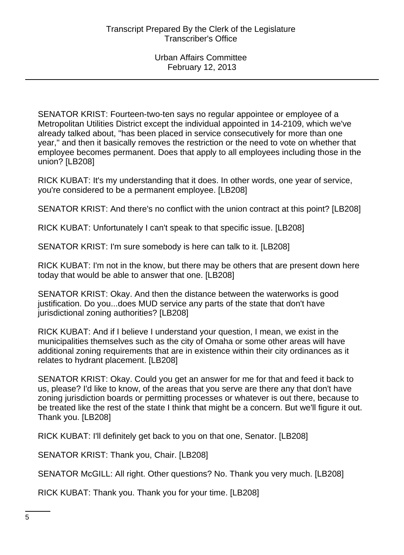SENATOR KRIST: Fourteen-two-ten says no regular appointee or employee of a Metropolitan Utilities District except the individual appointed in 14-2109, which we've already talked about, "has been placed in service consecutively for more than one year," and then it basically removes the restriction or the need to vote on whether that employee becomes permanent. Does that apply to all employees including those in the union? [LB208]

RICK KUBAT: It's my understanding that it does. In other words, one year of service, you're considered to be a permanent employee. [LB208]

SENATOR KRIST: And there's no conflict with the union contract at this point? [LB208]

RICK KUBAT: Unfortunately I can't speak to that specific issue. [LB208]

SENATOR KRIST: I'm sure somebody is here can talk to it. [LB208]

RICK KUBAT: I'm not in the know, but there may be others that are present down here today that would be able to answer that one. [LB208]

SENATOR KRIST: Okay. And then the distance between the waterworks is good justification. Do you...does MUD service any parts of the state that don't have jurisdictional zoning authorities? [LB208]

RICK KUBAT: And if I believe I understand your question, I mean, we exist in the municipalities themselves such as the city of Omaha or some other areas will have additional zoning requirements that are in existence within their city ordinances as it relates to hydrant placement. [LB208]

SENATOR KRIST: Okay. Could you get an answer for me for that and feed it back to us, please? I'd like to know, of the areas that you serve are there any that don't have zoning jurisdiction boards or permitting processes or whatever is out there, because to be treated like the rest of the state I think that might be a concern. But we'll figure it out. Thank you. [LB208]

RICK KUBAT: I'll definitely get back to you on that one, Senator. [LB208]

SENATOR KRIST: Thank you, Chair. [LB208]

SENATOR McGILL: All right. Other questions? No. Thank you very much. [LB208]

RICK KUBAT: Thank you. Thank you for your time. [LB208]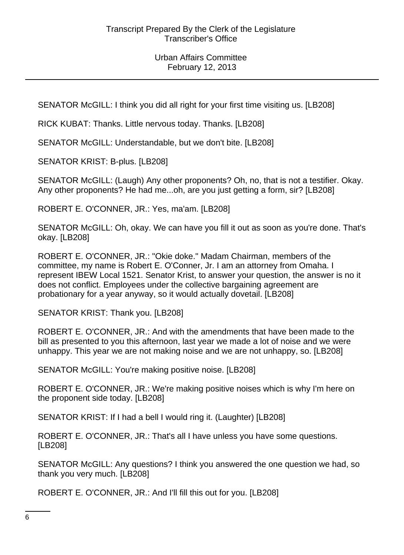SENATOR McGILL: I think you did all right for your first time visiting us. [LB208]

RICK KUBAT: Thanks. Little nervous today. Thanks. [LB208]

SENATOR McGILL: Understandable, but we don't bite. [LB208]

SENATOR KRIST: B-plus. [LB208]

SENATOR McGILL: (Laugh) Any other proponents? Oh, no, that is not a testifier. Okay. Any other proponents? He had me...oh, are you just getting a form, sir? [LB208]

ROBERT E. O'CONNER, JR.: Yes, ma'am. [LB208]

SENATOR McGILL: Oh, okay. We can have you fill it out as soon as you're done. That's okay. [LB208]

ROBERT E. O'CONNER, JR.: "Okie doke." Madam Chairman, members of the committee, my name is Robert E. O'Conner, Jr. I am an attorney from Omaha. I represent IBEW Local 1521. Senator Krist, to answer your question, the answer is no it does not conflict. Employees under the collective bargaining agreement are probationary for a year anyway, so it would actually dovetail. [LB208]

SENATOR KRIST: Thank you. [LB208]

ROBERT E. O'CONNER, JR.: And with the amendments that have been made to the bill as presented to you this afternoon, last year we made a lot of noise and we were unhappy. This year we are not making noise and we are not unhappy, so. [LB208]

SENATOR McGILL: You're making positive noise. [LB208]

ROBERT E. O'CONNER, JR.: We're making positive noises which is why I'm here on the proponent side today. [LB208]

SENATOR KRIST: If I had a bell I would ring it. (Laughter) [LB208]

ROBERT E. O'CONNER, JR.: That's all I have unless you have some questions. [LB208]

SENATOR McGILL: Any questions? I think you answered the one question we had, so thank you very much. [LB208]

ROBERT E. O'CONNER, JR.: And I'll fill this out for you. [LB208]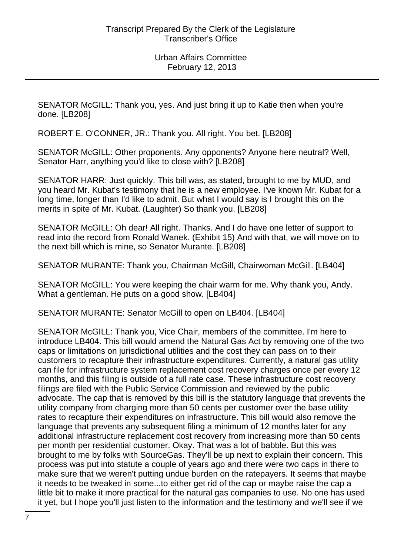SENATOR McGILL: Thank you, yes. And just bring it up to Katie then when you're done. [LB208]

ROBERT E. O'CONNER, JR.: Thank you. All right. You bet. [LB208]

SENATOR McGILL: Other proponents. Any opponents? Anyone here neutral? Well, Senator Harr, anything you'd like to close with? [LB208]

SENATOR HARR: Just quickly. This bill was, as stated, brought to me by MUD, and you heard Mr. Kubat's testimony that he is a new employee. I've known Mr. Kubat for a long time, longer than I'd like to admit. But what I would say is I brought this on the merits in spite of Mr. Kubat. (Laughter) So thank you. [LB208]

SENATOR McGILL: Oh dear! All right. Thanks. And I do have one letter of support to read into the record from Ronald Wanek. (Exhibit 15) And with that, we will move on to the next bill which is mine, so Senator Murante. [LB208]

SENATOR MURANTE: Thank you, Chairman McGill, Chairwoman McGill. [LB404]

SENATOR McGILL: You were keeping the chair warm for me. Why thank you, Andy. What a gentleman. He puts on a good show. [LB404]

SENATOR MURANTE: Senator McGill to open on LB404. [LB404]

SENATOR McGILL: Thank you, Vice Chair, members of the committee. I'm here to introduce LB404. This bill would amend the Natural Gas Act by removing one of the two caps or limitations on jurisdictional utilities and the cost they can pass on to their customers to recapture their infrastructure expenditures. Currently, a natural gas utility can file for infrastructure system replacement cost recovery charges once per every 12 months, and this filing is outside of a full rate case. These infrastructure cost recovery filings are filed with the Public Service Commission and reviewed by the public advocate. The cap that is removed by this bill is the statutory language that prevents the utility company from charging more than 50 cents per customer over the base utility rates to recapture their expenditures on infrastructure. This bill would also remove the language that prevents any subsequent filing a minimum of 12 months later for any additional infrastructure replacement cost recovery from increasing more than 50 cents per month per residential customer. Okay. That was a lot of babble. But this was brought to me by folks with SourceGas. They'll be up next to explain their concern. This process was put into statute a couple of years ago and there were two caps in there to make sure that we weren't putting undue burden on the ratepayers. It seems that maybe it needs to be tweaked in some...to either get rid of the cap or maybe raise the cap a little bit to make it more practical for the natural gas companies to use. No one has used it yet, but I hope you'll just listen to the information and the testimony and we'll see if we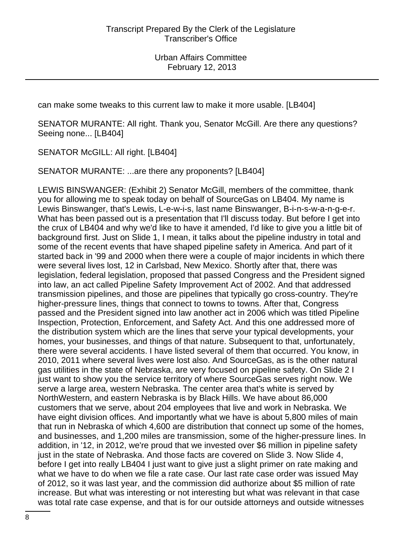can make some tweaks to this current law to make it more usable. [LB404]

SENATOR MURANTE: All right. Thank you, Senator McGill. Are there any questions? Seeing none... [LB404]

SENATOR McGILL: All right. [LB404]

SENATOR MURANTE: ...are there any proponents? [LB404]

LEWIS BINSWANGER: (Exhibit 2) Senator McGill, members of the committee, thank you for allowing me to speak today on behalf of SourceGas on LB404. My name is Lewis Binswanger, that's Lewis, L-e-w-i-s, last name Binswanger, B-i-n-s-w-a-n-g-e-r. What has been passed out is a presentation that I'll discuss today. But before I get into the crux of LB404 and why we'd like to have it amended, I'd like to give you a little bit of background first. Just on Slide 1, I mean, it talks about the pipeline industry in total and some of the recent events that have shaped pipeline safety in America. And part of it started back in '99 and 2000 when there were a couple of major incidents in which there were several lives lost, 12 in Carlsbad, New Mexico. Shortly after that, there was legislation, federal legislation, proposed that passed Congress and the President signed into law, an act called Pipeline Safety Improvement Act of 2002. And that addressed transmission pipelines, and those are pipelines that typically go cross-country. They're higher-pressure lines, things that connect to towns to towns. After that, Congress passed and the President signed into law another act in 2006 which was titled Pipeline Inspection, Protection, Enforcement, and Safety Act. And this one addressed more of the distribution system which are the lines that serve your typical developments, your homes, your businesses, and things of that nature. Subsequent to that, unfortunately, there were several accidents. I have listed several of them that occurred. You know, in 2010, 2011 where several lives were lost also. And SourceGas, as is the other natural gas utilities in the state of Nebraska, are very focused on pipeline safety. On Slide 2 I just want to show you the service territory of where SourceGas serves right now. We serve a large area, western Nebraska. The center area that's white is served by NorthWestern, and eastern Nebraska is by Black Hills. We have about 86,000 customers that we serve, about 204 employees that live and work in Nebraska. We have eight division offices. And importantly what we have is about 5,800 miles of main that run in Nebraska of which 4,600 are distribution that connect up some of the homes, and businesses, and 1,200 miles are transmission, some of the higher-pressure lines. In addition, in '12, in 2012, we're proud that we invested over \$6 million in pipeline safety just in the state of Nebraska. And those facts are covered on Slide 3. Now Slide 4, before I get into really LB404 I just want to give just a slight primer on rate making and what we have to do when we file a rate case. Our last rate case order was issued May of 2012, so it was last year, and the commission did authorize about \$5 million of rate increase. But what was interesting or not interesting but what was relevant in that case was total rate case expense, and that is for our outside attorneys and outside witnesses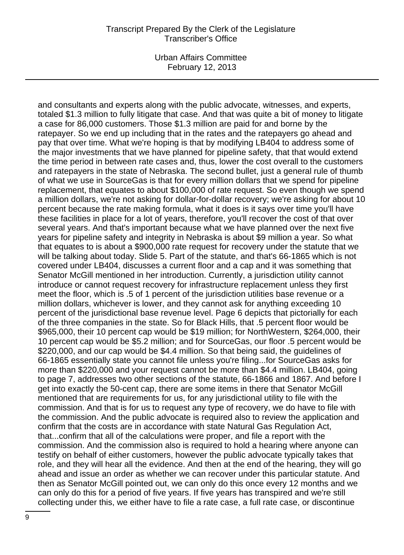Urban Affairs Committee February 12, 2013

and consultants and experts along with the public advocate, witnesses, and experts, totaled \$1.3 million to fully litigate that case. And that was quite a bit of money to litigate a case for 86,000 customers. Those \$1.3 million are paid for and borne by the ratepayer. So we end up including that in the rates and the ratepayers go ahead and pay that over time. What we're hoping is that by modifying LB404 to address some of the major investments that we have planned for pipeline safety, that that would extend the time period in between rate cases and, thus, lower the cost overall to the customers and ratepayers in the state of Nebraska. The second bullet, just a general rule of thumb of what we use in SourceGas is that for every million dollars that we spend for pipeline replacement, that equates to about \$100,000 of rate request. So even though we spend a million dollars, we're not asking for dollar-for-dollar recovery; we're asking for about 10 percent because the rate making formula, what it does is it says over time you'll have these facilities in place for a lot of years, therefore, you'll recover the cost of that over several years. And that's important because what we have planned over the next five years for pipeline safety and integrity in Nebraska is about \$9 million a year. So what that equates to is about a \$900,000 rate request for recovery under the statute that we will be talking about today. Slide 5. Part of the statute, and that's 66-1865 which is not covered under LB404, discusses a current floor and a cap and it was something that Senator McGill mentioned in her introduction. Currently, a jurisdiction utility cannot introduce or cannot request recovery for infrastructure replacement unless they first meet the floor, which is .5 of 1 percent of the jurisdiction utilities base revenue or a million dollars, whichever is lower, and they cannot ask for anything exceeding 10 percent of the jurisdictional base revenue level. Page 6 depicts that pictorially for each of the three companies in the state. So for Black Hills, that .5 percent floor would be \$965,000, their 10 percent cap would be \$19 million; for NorthWestern, \$264,000, their 10 percent cap would be \$5.2 million; and for SourceGas, our floor .5 percent would be \$220,000, and our cap would be \$4.4 million. So that being said, the guidelines of 66-1865 essentially state you cannot file unless you're filing...for SourceGas asks for more than \$220,000 and your request cannot be more than \$4.4 million. LB404, going to page 7, addresses two other sections of the statute, 66-1866 and 1867. And before I get into exactly the 50-cent cap, there are some items in there that Senator McGill mentioned that are requirements for us, for any jurisdictional utility to file with the commission. And that is for us to request any type of recovery, we do have to file with the commission. And the public advocate is required also to review the application and confirm that the costs are in accordance with state Natural Gas Regulation Act, that...confirm that all of the calculations were proper, and file a report with the commission. And the commission also is required to hold a hearing where anyone can testify on behalf of either customers, however the public advocate typically takes that role, and they will hear all the evidence. And then at the end of the hearing, they will go ahead and issue an order as whether we can recover under this particular statute. And then as Senator McGill pointed out, we can only do this once every 12 months and we can only do this for a period of five years. If five years has transpired and we're still collecting under this, we either have to file a rate case, a full rate case, or discontinue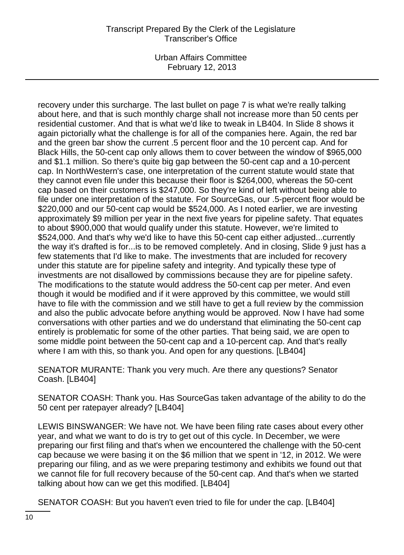Urban Affairs Committee February 12, 2013

recovery under this surcharge. The last bullet on page 7 is what we're really talking about here, and that is such monthly charge shall not increase more than 50 cents per residential customer. And that is what we'd like to tweak in LB404. In Slide 8 shows it again pictorially what the challenge is for all of the companies here. Again, the red bar and the green bar show the current .5 percent floor and the 10 percent cap. And for Black Hills, the 50-cent cap only allows them to cover between the window of \$965,000 and \$1.1 million. So there's quite big gap between the 50-cent cap and a 10-percent cap. In NorthWestern's case, one interpretation of the current statute would state that they cannot even file under this because their floor is \$264,000, whereas the 50-cent cap based on their customers is \$247,000. So they're kind of left without being able to file under one interpretation of the statute. For SourceGas, our .5-percent floor would be \$220,000 and our 50-cent cap would be \$524,000. As I noted earlier, we are investing approximately \$9 million per year in the next five years for pipeline safety. That equates to about \$900,000 that would qualify under this statute. However, we're limited to \$524,000. And that's why we'd like to have this 50-cent cap either adjusted...currently the way it's drafted is for...is to be removed completely. And in closing, Slide 9 just has a few statements that I'd like to make. The investments that are included for recovery under this statute are for pipeline safety and integrity. And typically these type of investments are not disallowed by commissions because they are for pipeline safety. The modifications to the statute would address the 50-cent cap per meter. And even though it would be modified and if it were approved by this committee, we would still have to file with the commission and we still have to get a full review by the commission and also the public advocate before anything would be approved. Now I have had some conversations with other parties and we do understand that eliminating the 50-cent cap entirely is problematic for some of the other parties. That being said, we are open to some middle point between the 50-cent cap and a 10-percent cap. And that's really where I am with this, so thank you. And open for any questions. [LB404]

SENATOR MURANTE: Thank you very much. Are there any questions? Senator Coash. [LB404]

SENATOR COASH: Thank you. Has SourceGas taken advantage of the ability to do the 50 cent per ratepayer already? [LB404]

LEWIS BINSWANGER: We have not. We have been filing rate cases about every other year, and what we want to do is try to get out of this cycle. In December, we were preparing our first filing and that's when we encountered the challenge with the 50-cent cap because we were basing it on the \$6 million that we spent in '12, in 2012. We were preparing our filing, and as we were preparing testimony and exhibits we found out that we cannot file for full recovery because of the 50-cent cap. And that's when we started talking about how can we get this modified. [LB404]

SENATOR COASH: But you haven't even tried to file for under the cap. [LB404]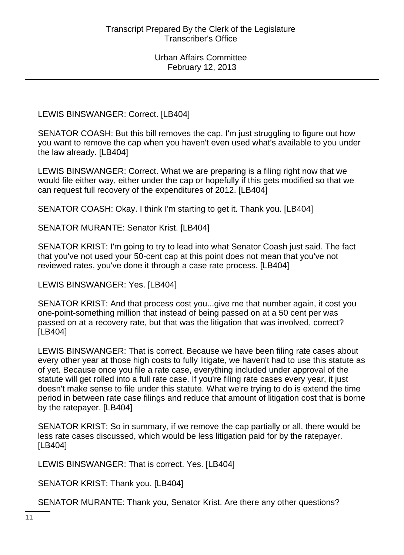LEWIS BINSWANGER: Correct. [LB404]

SENATOR COASH: But this bill removes the cap. I'm just struggling to figure out how you want to remove the cap when you haven't even used what's available to you under the law already. [LB404]

LEWIS BINSWANGER: Correct. What we are preparing is a filing right now that we would file either way, either under the cap or hopefully if this gets modified so that we can request full recovery of the expenditures of 2012. [LB404]

SENATOR COASH: Okay. I think I'm starting to get it. Thank you. [LB404]

SENATOR MURANTE: Senator Krist. [LB404]

SENATOR KRIST: I'm going to try to lead into what Senator Coash just said. The fact that you've not used your 50-cent cap at this point does not mean that you've not reviewed rates, you've done it through a case rate process. [LB404]

LEWIS BINSWANGER: Yes. [LB404]

SENATOR KRIST: And that process cost you...give me that number again, it cost you one-point-something million that instead of being passed on at a 50 cent per was passed on at a recovery rate, but that was the litigation that was involved, correct? [LB404]

LEWIS BINSWANGER: That is correct. Because we have been filing rate cases about every other year at those high costs to fully litigate, we haven't had to use this statute as of yet. Because once you file a rate case, everything included under approval of the statute will get rolled into a full rate case. If you're filing rate cases every year, it just doesn't make sense to file under this statute. What we're trying to do is extend the time period in between rate case filings and reduce that amount of litigation cost that is borne by the ratepayer. [LB404]

SENATOR KRIST: So in summary, if we remove the cap partially or all, there would be less rate cases discussed, which would be less litigation paid for by the ratepayer. [LB404]

LEWIS BINSWANGER: That is correct. Yes. [LB404]

SENATOR KRIST: Thank you. [LB404]

SENATOR MURANTE: Thank you, Senator Krist. Are there any other questions?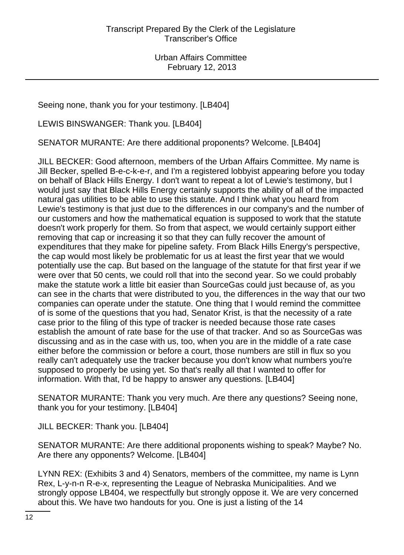Seeing none, thank you for your testimony. [LB404]

LEWIS BINSWANGER: Thank you. [LB404]

SENATOR MURANTE: Are there additional proponents? Welcome. [LB404]

JILL BECKER: Good afternoon, members of the Urban Affairs Committee. My name is Jill Becker, spelled B-e-c-k-e-r, and I'm a registered lobbyist appearing before you today on behalf of Black Hills Energy. I don't want to repeat a lot of Lewie's testimony, but I would just say that Black Hills Energy certainly supports the ability of all of the impacted natural gas utilities to be able to use this statute. And I think what you heard from Lewie's testimony is that just due to the differences in our company's and the number of our customers and how the mathematical equation is supposed to work that the statute doesn't work properly for them. So from that aspect, we would certainly support either removing that cap or increasing it so that they can fully recover the amount of expenditures that they make for pipeline safety. From Black Hills Energy's perspective, the cap would most likely be problematic for us at least the first year that we would potentially use the cap. But based on the language of the statute for that first year if we were over that 50 cents, we could roll that into the second year. So we could probably make the statute work a little bit easier than SourceGas could just because of, as you can see in the charts that were distributed to you, the differences in the way that our two companies can operate under the statute. One thing that I would remind the committee of is some of the questions that you had, Senator Krist, is that the necessity of a rate case prior to the filing of this type of tracker is needed because those rate cases establish the amount of rate base for the use of that tracker. And so as SourceGas was discussing and as in the case with us, too, when you are in the middle of a rate case either before the commission or before a court, those numbers are still in flux so you really can't adequately use the tracker because you don't know what numbers you're supposed to properly be using yet. So that's really all that I wanted to offer for information. With that, I'd be happy to answer any questions. [LB404]

SENATOR MURANTE: Thank you very much. Are there any questions? Seeing none, thank you for your testimony. [LB404]

JILL BECKER: Thank you. [LB404]

SENATOR MURANTE: Are there additional proponents wishing to speak? Maybe? No. Are there any opponents? Welcome. [LB404]

LYNN REX: (Exhibits 3 and 4) Senators, members of the committee, my name is Lynn Rex, L-y-n-n R-e-x, representing the League of Nebraska Municipalities. And we strongly oppose LB404, we respectfully but strongly oppose it. We are very concerned about this. We have two handouts for you. One is just a listing of the 14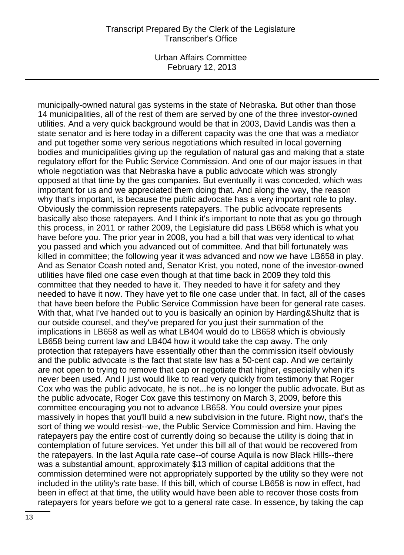Urban Affairs Committee February 12, 2013

municipally-owned natural gas systems in the state of Nebraska. But other than those 14 municipalities, all of the rest of them are served by one of the three investor-owned utilities. And a very quick background would be that in 2003, David Landis was then a state senator and is here today in a different capacity was the one that was a mediator and put together some very serious negotiations which resulted in local governing bodies and municipalities giving up the regulation of natural gas and making that a state regulatory effort for the Public Service Commission. And one of our major issues in that whole negotiation was that Nebraska have a public advocate which was strongly opposed at that time by the gas companies. But eventually it was conceded, which was important for us and we appreciated them doing that. And along the way, the reason why that's important, is because the public advocate has a very important role to play. Obviously the commission represents ratepayers. The public advocate represents basically also those ratepayers. And I think it's important to note that as you go through this process, in 2011 or rather 2009, the Legislature did pass LB658 which is what you have before you. The prior year in 2008, you had a bill that was very identical to what you passed and which you advanced out of committee. And that bill fortunately was killed in committee; the following year it was advanced and now we have LB658 in play. And as Senator Coash noted and, Senator Krist, you noted, none of the investor-owned utilities have filed one case even though at that time back in 2009 they told this committee that they needed to have it. They needed to have it for safety and they needed to have it now. They have yet to file one case under that. In fact, all of the cases that have been before the Public Service Commission have been for general rate cases. With that, what I've handed out to you is basically an opinion by Harding&Shultz that is our outside counsel, and they've prepared for you just their summation of the implications in LB658 as well as what LB404 would do to LB658 which is obviously LB658 being current law and LB404 how it would take the cap away. The only protection that ratepayers have essentially other than the commission itself obviously and the public advocate is the fact that state law has a 50-cent cap. And we certainly are not open to trying to remove that cap or negotiate that higher, especially when it's never been used. And I just would like to read very quickly from testimony that Roger Cox who was the public advocate, he is not...he is no longer the public advocate. But as the public advocate, Roger Cox gave this testimony on March 3, 2009, before this committee encouraging you not to advance LB658. You could oversize your pipes massively in hopes that you'll build a new subdivision in the future. Right now, that's the sort of thing we would resist--we, the Public Service Commission and him. Having the ratepayers pay the entire cost of currently doing so because the utility is doing that in contemplation of future services. Yet under this bill all of that would be recovered from the ratepayers. In the last Aquila rate case--of course Aquila is now Black Hills--there was a substantial amount, approximately \$13 million of capital additions that the commission determined were not appropriately supported by the utility so they were not included in the utility's rate base. If this bill, which of course LB658 is now in effect, had been in effect at that time, the utility would have been able to recover those costs from ratepayers for years before we got to a general rate case. In essence, by taking the cap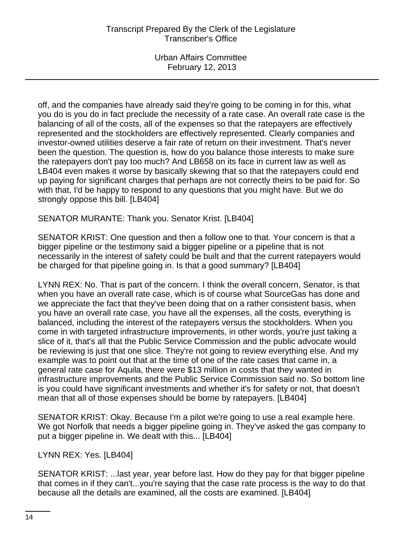off, and the companies have already said they're going to be coming in for this, what you do is you do in fact preclude the necessity of a rate case. An overall rate case is the balancing of all of the costs, all of the expenses so that the ratepayers are effectively represented and the stockholders are effectively represented. Clearly companies and investor-owned utilities deserve a fair rate of return on their investment. That's never been the question. The question is, how do you balance those interests to make sure the ratepayers don't pay too much? And LB658 on its face in current law as well as LB404 even makes it worse by basically skewing that so that the ratepayers could end up paying for significant charges that perhaps are not correctly theirs to be paid for. So with that, I'd be happy to respond to any questions that you might have. But we do strongly oppose this bill. [LB404]

SENATOR MURANTE: Thank you. Senator Krist. [LB404]

SENATOR KRIST: One question and then a follow one to that. Your concern is that a bigger pipeline or the testimony said a bigger pipeline or a pipeline that is not necessarily in the interest of safety could be built and that the current ratepayers would be charged for that pipeline going in. Is that a good summary? [LB404]

LYNN REX: No. That is part of the concern. I think the overall concern, Senator, is that when you have an overall rate case, which is of course what SourceGas has done and we appreciate the fact that they've been doing that on a rather consistent basis, when you have an overall rate case, you have all the expenses, all the costs, everything is balanced, including the interest of the ratepayers versus the stockholders. When you come in with targeted infrastructure improvements, in other words, you're just taking a slice of it, that's all that the Public Service Commission and the public advocate would be reviewing is just that one slice. They're not going to review everything else. And my example was to point out that at the time of one of the rate cases that came in, a general rate case for Aquila, there were \$13 million in costs that they wanted in infrastructure improvements and the Public Service Commission said no. So bottom line is you could have significant investments and whether it's for safety or not, that doesn't mean that all of those expenses should be borne by ratepayers. [LB404]

SENATOR KRIST: Okay. Because I'm a pilot we're going to use a real example here. We got Norfolk that needs a bigger pipeline going in. They've asked the gas company to put a bigger pipeline in. We dealt with this... [LB404]

# LYNN REX: Yes. [LB404]

SENATOR KRIST: ...last year, year before last. How do they pay for that bigger pipeline that comes in if they can't...you're saying that the case rate process is the way to do that because all the details are examined, all the costs are examined. [LB404]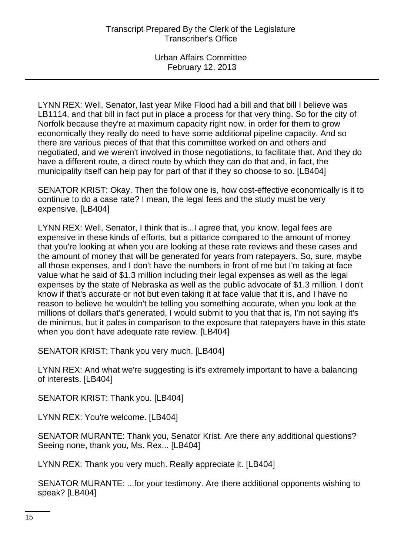LYNN REX: Well, Senator, last year Mike Flood had a bill and that bill I believe was LB1114, and that bill in fact put in place a process for that very thing. So for the city of Norfolk because they're at maximum capacity right now, in order for them to grow economically they really do need to have some additional pipeline capacity. And so there are various pieces of that that this committee worked on and others and negotiated, and we weren't involved in those negotiations, to facilitate that. And they do have a different route, a direct route by which they can do that and, in fact, the municipality itself can help pay for part of that if they so choose to so. [LB404]

SENATOR KRIST: Okay. Then the follow one is, how cost-effective economically is it to continue to do a case rate? I mean, the legal fees and the study must be very expensive. [LB404]

LYNN REX: Well, Senator, I think that is...I agree that, you know, legal fees are expensive in these kinds of efforts, but a pittance compared to the amount of money that you're looking at when you are looking at these rate reviews and these cases and the amount of money that will be generated for years from ratepayers. So, sure, maybe all those expenses, and I don't have the numbers in front of me but I'm taking at face value what he said of \$1.3 million including their legal expenses as well as the legal expenses by the state of Nebraska as well as the public advocate of \$1.3 million. I don't know if that's accurate or not but even taking it at face value that it is, and I have no reason to believe he wouldn't be telling you something accurate, when you look at the millions of dollars that's generated, I would submit to you that that is, I'm not saying it's de minimus, but it pales in comparison to the exposure that ratepayers have in this state when you don't have adequate rate review. [LB404]

SENATOR KRIST: Thank you very much. [LB404]

LYNN REX: And what we're suggesting is it's extremely important to have a balancing of interests. [LB404]

SENATOR KRIST: Thank you. [LB404]

LYNN REX: You're welcome. [LB404]

SENATOR MURANTE: Thank you, Senator Krist. Are there any additional questions? Seeing none, thank you, Ms. Rex... [LB404]

LYNN REX: Thank you very much. Really appreciate it. [LB404]

SENATOR MURANTE: ...for your testimony. Are there additional opponents wishing to speak? [LB404]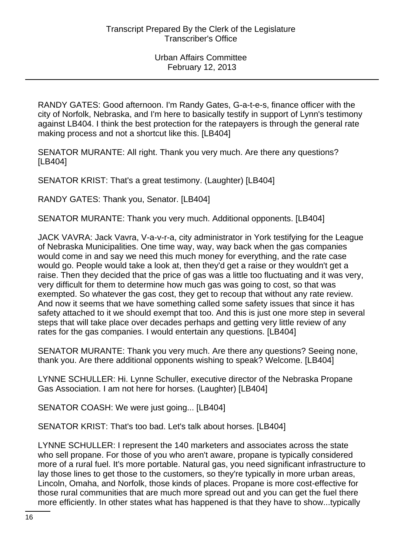RANDY GATES: Good afternoon. I'm Randy Gates, G-a-t-e-s, finance officer with the city of Norfolk, Nebraska, and I'm here to basically testify in support of Lynn's testimony against LB404. I think the best protection for the ratepayers is through the general rate making process and not a shortcut like this. [LB404]

SENATOR MURANTE: All right. Thank you very much. Are there any questions? [LB404]

SENATOR KRIST: That's a great testimony. (Laughter) [LB404]

RANDY GATES: Thank you, Senator. [LB404]

SENATOR MURANTE: Thank you very much. Additional opponents. [LB404]

JACK VAVRA: Jack Vavra, V-a-v-r-a, city administrator in York testifying for the League of Nebraska Municipalities. One time way, way, way back when the gas companies would come in and say we need this much money for everything, and the rate case would go. People would take a look at, then they'd get a raise or they wouldn't get a raise. Then they decided that the price of gas was a little too fluctuating and it was very, very difficult for them to determine how much gas was going to cost, so that was exempted. So whatever the gas cost, they get to recoup that without any rate review. And now it seems that we have something called some safety issues that since it has safety attached to it we should exempt that too. And this is just one more step in several steps that will take place over decades perhaps and getting very little review of any rates for the gas companies. I would entertain any questions. [LB404]

SENATOR MURANTE: Thank you very much. Are there any questions? Seeing none, thank you. Are there additional opponents wishing to speak? Welcome. [LB404]

LYNNE SCHULLER: Hi. Lynne Schuller, executive director of the Nebraska Propane Gas Association. I am not here for horses. (Laughter) [LB404]

SENATOR COASH: We were just going... [LB404]

SENATOR KRIST: That's too bad. Let's talk about horses. [LB404]

LYNNE SCHULLER: I represent the 140 marketers and associates across the state who sell propane. For those of you who aren't aware, propane is typically considered more of a rural fuel. It's more portable. Natural gas, you need significant infrastructure to lay those lines to get those to the customers, so they're typically in more urban areas, Lincoln, Omaha, and Norfolk, those kinds of places. Propane is more cost-effective for those rural communities that are much more spread out and you can get the fuel there more efficiently. In other states what has happened is that they have to show...typically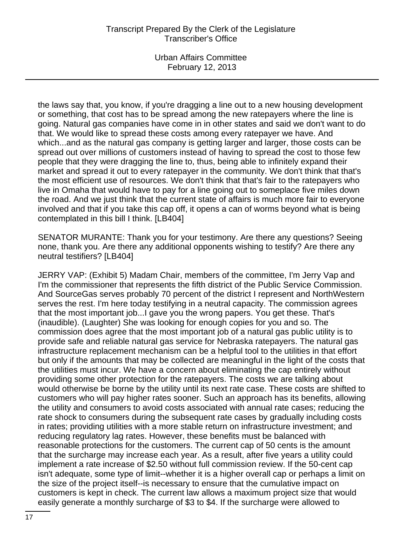Urban Affairs Committee February 12, 2013

the laws say that, you know, if you're dragging a line out to a new housing development or something, that cost has to be spread among the new ratepayers where the line is going. Natural gas companies have come in in other states and said we don't want to do that. We would like to spread these costs among every ratepayer we have. And which...and as the natural gas company is getting larger and larger, those costs can be spread out over millions of customers instead of having to spread the cost to those few people that they were dragging the line to, thus, being able to infinitely expand their market and spread it out to every ratepayer in the community. We don't think that that's the most efficient use of resources. We don't think that that's fair to the ratepayers who live in Omaha that would have to pay for a line going out to someplace five miles down the road. And we just think that the current state of affairs is much more fair to everyone involved and that if you take this cap off, it opens a can of worms beyond what is being contemplated in this bill I think. [LB404]

SENATOR MURANTE: Thank you for your testimony. Are there any questions? Seeing none, thank you. Are there any additional opponents wishing to testify? Are there any neutral testifiers? [LB404]

JERRY VAP: (Exhibit 5) Madam Chair, members of the committee, I'm Jerry Vap and I'm the commissioner that represents the fifth district of the Public Service Commission. And SourceGas serves probably 70 percent of the district I represent and NorthWestern serves the rest. I'm here today testifying in a neutral capacity. The commission agrees that the most important job...I gave you the wrong papers. You get these. That's (inaudible). (Laughter) She was looking for enough copies for you and so. The commission does agree that the most important job of a natural gas public utility is to provide safe and reliable natural gas service for Nebraska ratepayers. The natural gas infrastructure replacement mechanism can be a helpful tool to the utilities in that effort but only if the amounts that may be collected are meaningful in the light of the costs that the utilities must incur. We have a concern about eliminating the cap entirely without providing some other protection for the ratepayers. The costs we are talking about would otherwise be borne by the utility until its next rate case. These costs are shifted to customers who will pay higher rates sooner. Such an approach has its benefits, allowing the utility and consumers to avoid costs associated with annual rate cases; reducing the rate shock to consumers during the subsequent rate cases by gradually including costs in rates; providing utilities with a more stable return on infrastructure investment; and reducing regulatory lag rates. However, these benefits must be balanced with reasonable protections for the customers. The current cap of 50 cents is the amount that the surcharge may increase each year. As a result, after five years a utility could implement a rate increase of \$2.50 without full commission review. If the 50-cent cap isn't adequate, some type of limit--whether it is a higher overall cap or perhaps a limit on the size of the project itself--is necessary to ensure that the cumulative impact on customers is kept in check. The current law allows a maximum project size that would easily generate a monthly surcharge of \$3 to \$4. If the surcharge were allowed to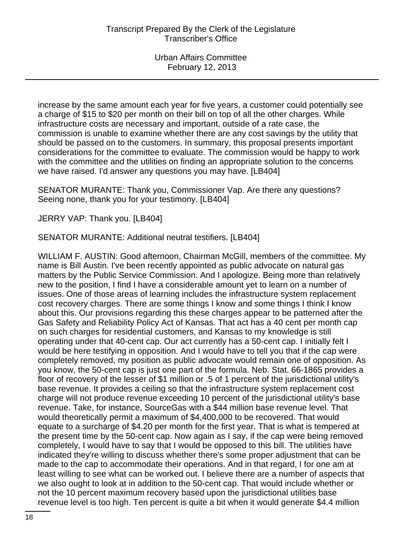increase by the same amount each year for five years, a customer could potentially see a charge of \$15 to \$20 per month on their bill on top of all the other charges. While infrastructure costs are necessary and important, outside of a rate case, the commission is unable to examine whether there are any cost savings by the utility that should be passed on to the customers. In summary, this proposal presents important considerations for the committee to evaluate. The commission would be happy to work with the committee and the utilities on finding an appropriate solution to the concerns we have raised. I'd answer any questions you may have. [LB404]

SENATOR MURANTE: Thank you, Commissioner Vap. Are there any questions? Seeing none, thank you for your testimony. [LB404]

JERRY VAP: Thank you. [LB404]

SENATOR MURANTE: Additional neutral testifiers. [LB404]

WILLIAM F. AUSTIN: Good afternoon, Chairman McGill, members of the committee. My name is Bill Austin. I've been recently appointed as public advocate on natural gas matters by the Public Service Commission. And I apologize. Being more than relatively new to the position, I find I have a considerable amount yet to learn on a number of issues. One of those areas of learning includes the infrastructure system replacement cost recovery charges. There are some things I know and some things I think I know about this. Our provisions regarding this these charges appear to be patterned after the Gas Safety and Reliability Policy Act of Kansas. That act has a 40 cent per month cap on such charges for residential customers, and Kansas to my knowledge is still operating under that 40-cent cap. Our act currently has a 50-cent cap. I initially felt I would be here testifying in opposition. And I would have to tell you that if the cap were completely removed, my position as public advocate would remain one of opposition. As you know, the 50-cent cap is just one part of the formula. Neb. Stat. 66-1865 provides a floor of recovery of the lesser of \$1 million or .5 of 1 percent of the jurisdictional utility's base revenue. It provides a ceiling so that the infrastructure system replacement cost charge will not produce revenue exceeding 10 percent of the jurisdictional utility's base revenue. Take, for instance, SourceGas with a \$44 million base revenue level. That would theoretically permit a maximum of \$4,400,000 to be recovered. That would equate to a surcharge of \$4.20 per month for the first year. That is what is tempered at the present time by the 50-cent cap. Now again as I say, if the cap were being removed completely, I would have to say that I would be opposed to this bill. The utilities have indicated they're willing to discuss whether there's some proper adjustment that can be made to the cap to accommodate their operations. And in that regard, I for one am at least willing to see what can be worked out. I believe there are a number of aspects that we also ought to look at in addition to the 50-cent cap. That would include whether or not the 10 percent maximum recovery based upon the jurisdictional utilities base revenue level is too high. Ten percent is quite a bit when it would generate \$4.4 million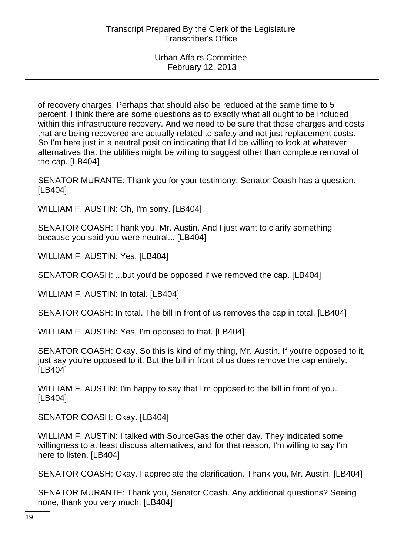of recovery charges. Perhaps that should also be reduced at the same time to 5 percent. I think there are some questions as to exactly what all ought to be included within this infrastructure recovery. And we need to be sure that those charges and costs that are being recovered are actually related to safety and not just replacement costs. So I'm here just in a neutral position indicating that I'd be willing to look at whatever alternatives that the utilities might be willing to suggest other than complete removal of the cap. [LB404]

SENATOR MURANTE: Thank you for your testimony. Senator Coash has a question. [LB404]

WILLIAM F. AUSTIN: Oh, I'm sorry. [LB404]

SENATOR COASH: Thank you, Mr. Austin. And I just want to clarify something because you said you were neutral... [LB404]

WILLIAM F. AUSTIN: Yes. [LB404]

SENATOR COASH: ...but you'd be opposed if we removed the cap. [LB404]

WILLIAM F. AUSTIN: In total. [LB404]

SENATOR COASH: In total. The bill in front of us removes the cap in total. [LB404]

WILLIAM F. AUSTIN: Yes, I'm opposed to that. [LB404]

SENATOR COASH: Okay. So this is kind of my thing, Mr. Austin. If you're opposed to it, just say you're opposed to it. But the bill in front of us does remove the cap entirely. [LB404]

WILLIAM F. AUSTIN: I'm happy to say that I'm opposed to the bill in front of you. [LB404]

SENATOR COASH: Okay. [LB404]

WILLIAM F. AUSTIN: I talked with SourceGas the other day. They indicated some willingness to at least discuss alternatives, and for that reason, I'm willing to say I'm here to listen. [LB404]

SENATOR COASH: Okay. I appreciate the clarification. Thank you, Mr. Austin. [LB404]

SENATOR MURANTE: Thank you, Senator Coash. Any additional questions? Seeing none, thank you very much. [LB404]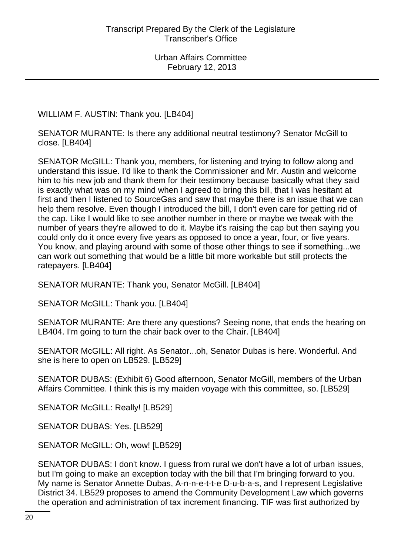WILLIAM F. AUSTIN: Thank you. [LB404]

SENATOR MURANTE: Is there any additional neutral testimony? Senator McGill to close. [LB404]

SENATOR McGILL: Thank you, members, for listening and trying to follow along and understand this issue. I'd like to thank the Commissioner and Mr. Austin and welcome him to his new job and thank them for their testimony because basically what they said is exactly what was on my mind when I agreed to bring this bill, that I was hesitant at first and then I listened to SourceGas and saw that maybe there is an issue that we can help them resolve. Even though I introduced the bill, I don't even care for getting rid of the cap. Like I would like to see another number in there or maybe we tweak with the number of years they're allowed to do it. Maybe it's raising the cap but then saying you could only do it once every five years as opposed to once a year, four, or five years. You know, and playing around with some of those other things to see if something...we can work out something that would be a little bit more workable but still protects the ratepayers. [LB404]

SENATOR MURANTE: Thank you, Senator McGill. [LB404]

SENATOR McGILL: Thank you. [LB404]

SENATOR MURANTE: Are there any questions? Seeing none, that ends the hearing on LB404. I'm going to turn the chair back over to the Chair. [LB404]

SENATOR McGILL: All right. As Senator...oh, Senator Dubas is here. Wonderful. And she is here to open on LB529. [LB529]

SENATOR DUBAS: (Exhibit 6) Good afternoon, Senator McGill, members of the Urban Affairs Committee. I think this is my maiden voyage with this committee, so. [LB529]

SENATOR McGILL: Really! [LB529]

SENATOR DUBAS: Yes. [LB529]

SENATOR McGILL: Oh, wow! [LB529]

SENATOR DUBAS: I don't know. I guess from rural we don't have a lot of urban issues, but I'm going to make an exception today with the bill that I'm bringing forward to you. My name is Senator Annette Dubas, A-n-n-e-t-t-e D-u-b-a-s, and I represent Legislative District 34. LB529 proposes to amend the Community Development Law which governs the operation and administration of tax increment financing. TIF was first authorized by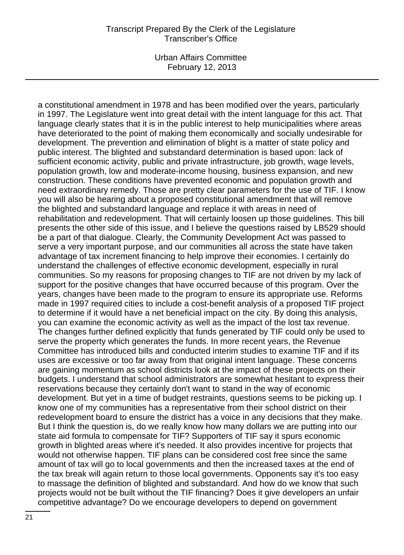Urban Affairs Committee February 12, 2013

a constitutional amendment in 1978 and has been modified over the years, particularly in 1997. The Legislature went into great detail with the intent language for this act. That language clearly states that it is in the public interest to help municipalities where areas have deteriorated to the point of making them economically and socially undesirable for development. The prevention and elimination of blight is a matter of state policy and public interest. The blighted and substandard determination is based upon: lack of sufficient economic activity, public and private infrastructure, job growth, wage levels, population growth, low and moderate-income housing, business expansion, and new construction. These conditions have prevented economic and population growth and need extraordinary remedy. Those are pretty clear parameters for the use of TIF. I know you will also be hearing about a proposed constitutional amendment that will remove the blighted and substandard language and replace it with areas in need of rehabilitation and redevelopment. That will certainly loosen up those guidelines. This bill presents the other side of this issue, and I believe the questions raised by LB529 should be a part of that dialogue. Clearly, the Community Development Act was passed to serve a very important purpose, and our communities all across the state have taken advantage of tax increment financing to help improve their economies. I certainly do understand the challenges of effective economic development, especially in rural communities. So my reasons for proposing changes to TIF are not driven by my lack of support for the positive changes that have occurred because of this program. Over the years, changes have been made to the program to ensure its appropriate use. Reforms made in 1997 required cities to include a cost-benefit analysis of a proposed TIF project to determine if it would have a net beneficial impact on the city. By doing this analysis, you can examine the economic activity as well as the impact of the lost tax revenue. The changes further defined explicitly that funds generated by TIF could only be used to serve the property which generates the funds. In more recent years, the Revenue Committee has introduced bills and conducted interim studies to examine TIF and if its uses are excessive or too far away from that original intent language. These concerns are gaining momentum as school districts look at the impact of these projects on their budgets. I understand that school administrators are somewhat hesitant to express their reservations because they certainly don't want to stand in the way of economic development. But yet in a time of budget restraints, questions seems to be picking up. I know one of my communities has a representative from their school district on their redevelopment board to ensure the district has a voice in any decisions that they make. But I think the question is, do we really know how many dollars we are putting into our state aid formula to compensate for TIF? Supporters of TIF say it spurs economic growth in blighted areas where it's needed. It also provides incentive for projects that would not otherwise happen. TIF plans can be considered cost free since the same amount of tax will go to local governments and then the increased taxes at the end of the tax break will again return to those local governments. Opponents say it's too easy to massage the definition of blighted and substandard. And how do we know that such projects would not be built without the TIF financing? Does it give developers an unfair competitive advantage? Do we encourage developers to depend on government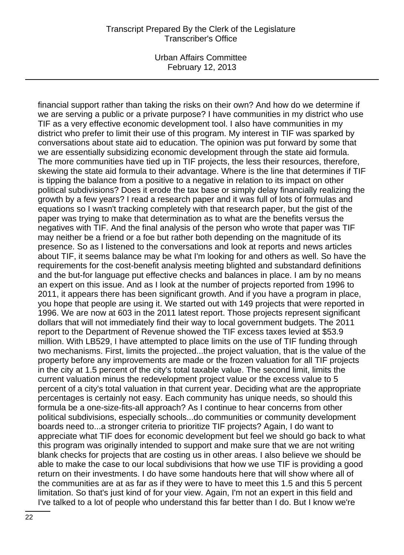Urban Affairs Committee February 12, 2013

financial support rather than taking the risks on their own? And how do we determine if we are serving a public or a private purpose? I have communities in my district who use TIF as a very effective economic development tool. I also have communities in my district who prefer to limit their use of this program. My interest in TIF was sparked by conversations about state aid to education. The opinion was put forward by some that we are essentially subsidizing economic development through the state aid formula. The more communities have tied up in TIF projects, the less their resources, therefore, skewing the state aid formula to their advantage. Where is the line that determines if TIF is tipping the balance from a positive to a negative in relation to its impact on other political subdivisions? Does it erode the tax base or simply delay financially realizing the growth by a few years? I read a research paper and it was full of lots of formulas and equations so I wasn't tracking completely with that research paper, but the gist of the paper was trying to make that determination as to what are the benefits versus the negatives with TIF. And the final analysis of the person who wrote that paper was TIF may neither be a friend or a foe but rather both depending on the magnitude of its presence. So as I listened to the conversations and look at reports and news articles about TIF, it seems balance may be what I'm looking for and others as well. So have the requirements for the cost-benefit analysis meeting blighted and substandard definitions and the but-for language put effective checks and balances in place. I am by no means an expert on this issue. And as I look at the number of projects reported from 1996 to 2011, it appears there has been significant growth. And if you have a program in place, you hope that people are using it. We started out with 149 projects that were reported in 1996. We are now at 603 in the 2011 latest report. Those projects represent significant dollars that will not immediately find their way to local government budgets. The 2011 report to the Department of Revenue showed the TIF excess taxes levied at \$53.9 million. With LB529, I have attempted to place limits on the use of TIF funding through two mechanisms. First, limits the projected...the project valuation, that is the value of the property before any improvements are made or the frozen valuation for all TIF projects in the city at 1.5 percent of the city's total taxable value. The second limit, limits the current valuation minus the redevelopment project value or the excess value to 5 percent of a city's total valuation in that current year. Deciding what are the appropriate percentages is certainly not easy. Each community has unique needs, so should this formula be a one-size-fits-all approach? As I continue to hear concerns from other political subdivisions, especially schools...do communities or community development boards need to...a stronger criteria to prioritize TIF projects? Again, I do want to appreciate what TIF does for economic development but feel we should go back to what this program was originally intended to support and make sure that we are not writing blank checks for projects that are costing us in other areas. I also believe we should be able to make the case to our local subdivisions that how we use TIF is providing a good return on their investments. I do have some handouts here that will show where all of the communities are at as far as if they were to have to meet this 1.5 and this 5 percent limitation. So that's just kind of for your view. Again, I'm not an expert in this field and I've talked to a lot of people who understand this far better than I do. But I know we're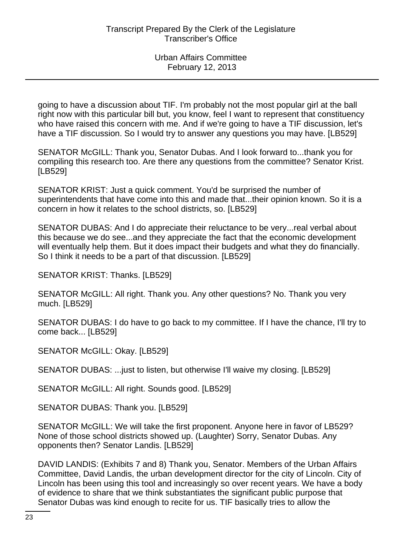going to have a discussion about TIF. I'm probably not the most popular girl at the ball right now with this particular bill but, you know, feel I want to represent that constituency who have raised this concern with me. And if we're going to have a TIF discussion, let's have a TIF discussion. So I would try to answer any questions you may have. [LB529]

SENATOR McGILL: Thank you, Senator Dubas. And I look forward to...thank you for compiling this research too. Are there any questions from the committee? Senator Krist. [LB529]

SENATOR KRIST: Just a quick comment. You'd be surprised the number of superintendents that have come into this and made that...their opinion known. So it is a concern in how it relates to the school districts, so. [LB529]

SENATOR DUBAS: And I do appreciate their reluctance to be very...real verbal about this because we do see...and they appreciate the fact that the economic development will eventually help them. But it does impact their budgets and what they do financially. So I think it needs to be a part of that discussion. [LB529]

SENATOR KRIST: Thanks. [LB529]

SENATOR McGILL: All right. Thank you. Any other questions? No. Thank you very much. [LB529]

SENATOR DUBAS: I do have to go back to my committee. If I have the chance, I'll try to come back... [LB529]

SENATOR McGILL: Okay. [LB529]

SENATOR DUBAS: ...just to listen, but otherwise I'll waive my closing. [LB529]

SENATOR McGILL: All right. Sounds good. [LB529]

SENATOR DUBAS: Thank you. [LB529]

SENATOR McGILL: We will take the first proponent. Anyone here in favor of LB529? None of those school districts showed up. (Laughter) Sorry, Senator Dubas. Any opponents then? Senator Landis. [LB529]

DAVID LANDIS: (Exhibits 7 and 8) Thank you, Senator. Members of the Urban Affairs Committee, David Landis, the urban development director for the city of Lincoln. City of Lincoln has been using this tool and increasingly so over recent years. We have a body of evidence to share that we think substantiates the significant public purpose that Senator Dubas was kind enough to recite for us. TIF basically tries to allow the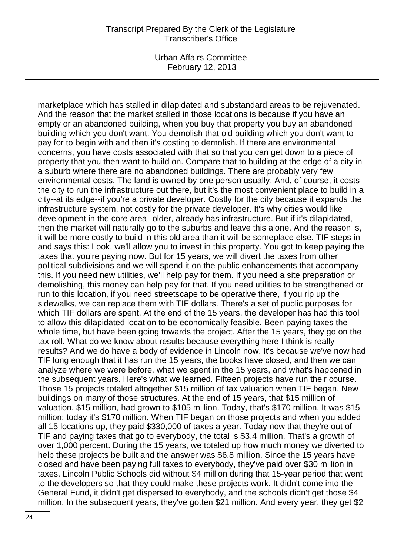Urban Affairs Committee February 12, 2013

marketplace which has stalled in dilapidated and substandard areas to be rejuvenated. And the reason that the market stalled in those locations is because if you have an empty or an abandoned building, when you buy that property you buy an abandoned building which you don't want. You demolish that old building which you don't want to pay for to begin with and then it's costing to demolish. If there are environmental concerns, you have costs associated with that so that you can get down to a piece of property that you then want to build on. Compare that to building at the edge of a city in a suburb where there are no abandoned buildings. There are probably very few environmental costs. The land is owned by one person usually. And, of course, it costs the city to run the infrastructure out there, but it's the most convenient place to build in a city--at its edge--if you're a private developer. Costly for the city because it expands the infrastructure system, not costly for the private developer. It's why cities would like development in the core area--older, already has infrastructure. But if it's dilapidated, then the market will naturally go to the suburbs and leave this alone. And the reason is, it will be more costly to build in this old area than it will be someplace else. TIF steps in and says this: Look, we'll allow you to invest in this property. You got to keep paying the taxes that you're paying now. But for 15 years, we will divert the taxes from other political subdivisions and we will spend it on the public enhancements that accompany this. If you need new utilities, we'll help pay for them. If you need a site preparation or demolishing, this money can help pay for that. If you need utilities to be strengthened or run to this location, if you need streetscape to be operative there, if you rip up the sidewalks, we can replace them with TIF dollars. There's a set of public purposes for which TIF dollars are spent. At the end of the 15 years, the developer has had this tool to allow this dilapidated location to be economically feasible. Been paying taxes the whole time, but have been going towards the project. After the 15 years, they go on the tax roll. What do we know about results because everything here I think is really results? And we do have a body of evidence in Lincoln now. It's because we've now had TIF long enough that it has run the 15 years, the books have closed, and then we can analyze where we were before, what we spent in the 15 years, and what's happened in the subsequent years. Here's what we learned. Fifteen projects have run their course. Those 15 projects totaled altogether \$15 million of tax valuation when TIF began. New buildings on many of those structures. At the end of 15 years, that \$15 million of valuation, \$15 million, had grown to \$105 million. Today, that's \$170 million. It was \$15 million; today it's \$170 million. When TIF began on those projects and when you added all 15 locations up, they paid \$330,000 of taxes a year. Today now that they're out of TIF and paying taxes that go to everybody, the total is \$3.4 million. That's a growth of over 1,000 percent. During the 15 years, we totaled up how much money we diverted to help these projects be built and the answer was \$6.8 million. Since the 15 years have closed and have been paying full taxes to everybody, they've paid over \$30 million in taxes. Lincoln Public Schools did without \$4 million during that 15-year period that went to the developers so that they could make these projects work. It didn't come into the General Fund, it didn't get dispersed to everybody, and the schools didn't get those \$4 million. In the subsequent years, they've gotten \$21 million. And every year, they get \$2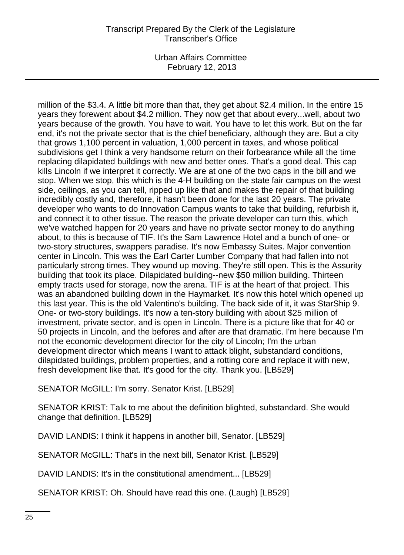Urban Affairs Committee February 12, 2013

million of the \$3.4. A little bit more than that, they get about \$2.4 million. In the entire 15 years they forewent about \$4.2 million. They now get that about every...well, about two years because of the growth. You have to wait. You have to let this work. But on the far end, it's not the private sector that is the chief beneficiary, although they are. But a city that grows 1,100 percent in valuation, 1,000 percent in taxes, and whose political subdivisions get I think a very handsome return on their forbearance while all the time replacing dilapidated buildings with new and better ones. That's a good deal. This cap kills Lincoln if we interpret it correctly. We are at one of the two caps in the bill and we stop. When we stop, this which is the 4-H building on the state fair campus on the west side, ceilings, as you can tell, ripped up like that and makes the repair of that building incredibly costly and, therefore, it hasn't been done for the last 20 years. The private developer who wants to do Innovation Campus wants to take that building, refurbish it, and connect it to other tissue. The reason the private developer can turn this, which we've watched happen for 20 years and have no private sector money to do anything about, to this is because of TIF. It's the Sam Lawrence Hotel and a bunch of one- or two-story structures, swappers paradise. It's now Embassy Suites. Major convention center in Lincoln. This was the Earl Carter Lumber Company that had fallen into not particularly strong times. They wound up moving. They're still open. This is the Assurity building that took its place. Dilapidated building--new \$50 million building. Thirteen empty tracts used for storage, now the arena. TIF is at the heart of that project. This was an abandoned building down in the Haymarket. It's now this hotel which opened up this last year. This is the old Valentino's building. The back side of it, it was StarShip 9. One- or two-story buildings. It's now a ten-story building with about \$25 million of investment, private sector, and is open in Lincoln. There is a picture like that for 40 or 50 projects in Lincoln, and the befores and after are that dramatic. I'm here because I'm not the economic development director for the city of Lincoln; I'm the urban development director which means I want to attack blight, substandard conditions, dilapidated buildings, problem properties, and a rotting core and replace it with new, fresh development like that. It's good for the city. Thank you. [LB529]

SENATOR McGILL: I'm sorry. Senator Krist. [LB529]

SENATOR KRIST: Talk to me about the definition blighted, substandard. She would change that definition. [LB529]

DAVID LANDIS: I think it happens in another bill, Senator. [LB529]

SENATOR McGILL: That's in the next bill, Senator Krist. [LB529]

DAVID LANDIS: It's in the constitutional amendment... [LB529]

SENATOR KRIST: Oh. Should have read this one. (Laugh) [LB529]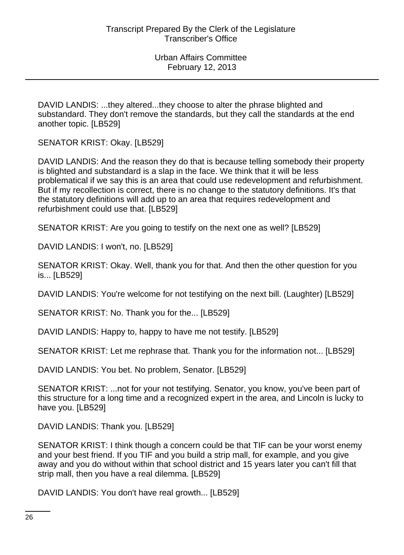DAVID LANDIS: ...they altered...they choose to alter the phrase blighted and substandard. They don't remove the standards, but they call the standards at the end another topic. [LB529]

SENATOR KRIST: Okay. [LB529]

DAVID LANDIS: And the reason they do that is because telling somebody their property is blighted and substandard is a slap in the face. We think that it will be less problematical if we say this is an area that could use redevelopment and refurbishment. But if my recollection is correct, there is no change to the statutory definitions. It's that the statutory definitions will add up to an area that requires redevelopment and refurbishment could use that. [LB529]

SENATOR KRIST: Are you going to testify on the next one as well? [LB529]

DAVID LANDIS: I won't, no. [LB529]

SENATOR KRIST: Okay. Well, thank you for that. And then the other question for you is... [LB529]

DAVID LANDIS: You're welcome for not testifying on the next bill. (Laughter) [LB529]

SENATOR KRIST: No. Thank you for the... [LB529]

DAVID LANDIS: Happy to, happy to have me not testify. [LB529]

SENATOR KRIST: Let me rephrase that. Thank you for the information not... [LB529]

DAVID LANDIS: You bet. No problem, Senator. [LB529]

SENATOR KRIST: ...not for your not testifying. Senator, you know, you've been part of this structure for a long time and a recognized expert in the area, and Lincoln is lucky to have you. [LB529]

DAVID LANDIS: Thank you. [LB529]

SENATOR KRIST: I think though a concern could be that TIF can be your worst enemy and your best friend. If you TIF and you build a strip mall, for example, and you give away and you do without within that school district and 15 years later you can't fill that strip mall, then you have a real dilemma. [LB529]

DAVID LANDIS: You don't have real growth... [LB529]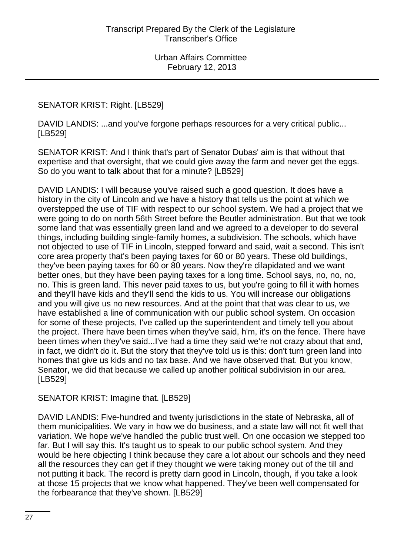## SENATOR KRIST: Right. [LB529]

DAVID LANDIS: ...and you've forgone perhaps resources for a very critical public... [LB529]

SENATOR KRIST: And I think that's part of Senator Dubas' aim is that without that expertise and that oversight, that we could give away the farm and never get the eggs. So do you want to talk about that for a minute? [LB529]

DAVID LANDIS: I will because you've raised such a good question. It does have a history in the city of Lincoln and we have a history that tells us the point at which we overstepped the use of TIF with respect to our school system. We had a project that we were going to do on north 56th Street before the Beutler administration. But that we took some land that was essentially green land and we agreed to a developer to do several things, including building single-family homes, a subdivision. The schools, which have not objected to use of TIF in Lincoln, stepped forward and said, wait a second. This isn't core area property that's been paying taxes for 60 or 80 years. These old buildings, they've been paying taxes for 60 or 80 years. Now they're dilapidated and we want better ones, but they have been paying taxes for a long time. School says, no, no, no, no. This is green land. This never paid taxes to us, but you're going to fill it with homes and they'll have kids and they'll send the kids to us. You will increase our obligations and you will give us no new resources. And at the point that that was clear to us, we have established a line of communication with our public school system. On occasion for some of these projects, I've called up the superintendent and timely tell you about the project. There have been times when they've said, h'm, it's on the fence. There have been times when they've said...I've had a time they said we're not crazy about that and, in fact, we didn't do it. But the story that they've told us is this: don't turn green land into homes that give us kids and no tax base. And we have observed that. But you know, Senator, we did that because we called up another political subdivision in our area. [LB529]

#### SENATOR KRIST: Imagine that. [LB529]

DAVID LANDIS: Five-hundred and twenty jurisdictions in the state of Nebraska, all of them municipalities. We vary in how we do business, and a state law will not fit well that variation. We hope we've handled the public trust well. On one occasion we stepped too far. But I will say this. It's taught us to speak to our public school system. And they would be here objecting I think because they care a lot about our schools and they need all the resources they can get if they thought we were taking money out of the till and not putting it back. The record is pretty darn good in Lincoln, though, if you take a look at those 15 projects that we know what happened. They've been well compensated for the forbearance that they've shown. [LB529]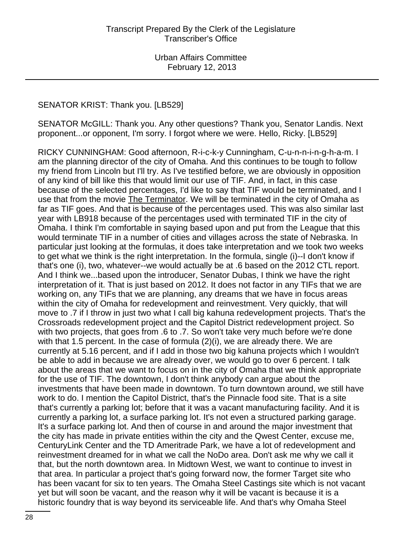### SENATOR KRIST: Thank you. [LB529]

SENATOR McGILL: Thank you. Any other questions? Thank you, Senator Landis. Next proponent...or opponent, I'm sorry. I forgot where we were. Hello, Ricky. [LB529]

RICKY CUNNINGHAM: Good afternoon, R-i-c-k-y Cunningham, C-u-n-n-i-n-g-h-a-m. I am the planning director of the city of Omaha. And this continues to be tough to follow my friend from Lincoln but I'll try. As I've testified before, we are obviously in opposition of any kind of bill like this that would limit our use of TIF. And, in fact, in this case because of the selected percentages, I'd like to say that TIF would be terminated, and I use that from the movie The Terminator. We will be terminated in the city of Omaha as far as TIF goes. And that is because of the percentages used. This was also similar last year with LB918 because of the percentages used with terminated TIF in the city of Omaha. I think I'm comfortable in saying based upon and put from the League that this would terminate TIF in a number of cities and villages across the state of Nebraska. In particular just looking at the formulas, it does take interpretation and we took two weeks to get what we think is the right interpretation. In the formula, single (i)--I don't know if that's one (i), two, whatever--we would actually be at .6 based on the 2012 CTL report. And I think we...based upon the introducer, Senator Dubas, I think we have the right interpretation of it. That is just based on 2012. It does not factor in any TIFs that we are working on, any TIFs that we are planning, any dreams that we have in focus areas within the city of Omaha for redevelopment and reinvestment. Very quickly, that will move to .7 if I throw in just two what I call big kahuna redevelopment projects. That's the Crossroads redevelopment project and the Capitol District redevelopment project. So with two projects, that goes from .6 to .7. So won't take very much before we're done with that 1.5 percent. In the case of formula  $(2)(i)$ , we are already there. We are currently at 5.16 percent, and if I add in those two big kahuna projects which I wouldn't be able to add in because we are already over, we would go to over 6 percent. I talk about the areas that we want to focus on in the city of Omaha that we think appropriate for the use of TIF. The downtown, I don't think anybody can argue about the investments that have been made in downtown. To turn downtown around, we still have work to do. I mention the Capitol District, that's the Pinnacle food site. That is a site that's currently a parking lot; before that it was a vacant manufacturing facility. And it is currently a parking lot, a surface parking lot. It's not even a structured parking garage. It's a surface parking lot. And then of course in and around the major investment that the city has made in private entities within the city and the Qwest Center, excuse me, CenturyLink Center and the TD Ameritrade Park, we have a lot of redevelopment and reinvestment dreamed for in what we call the NoDo area. Don't ask me why we call it that, but the north downtown area. In Midtown West, we want to continue to invest in that area. In particular a project that's going forward now, the former Target site who has been vacant for six to ten years. The Omaha Steel Castings site which is not vacant yet but will soon be vacant, and the reason why it will be vacant is because it is a historic foundry that is way beyond its serviceable life. And that's why Omaha Steel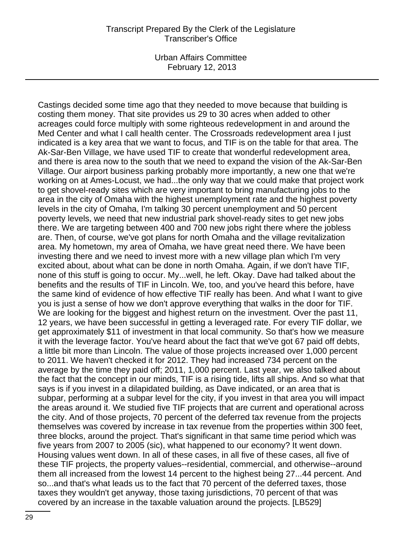Urban Affairs Committee February 12, 2013

Castings decided some time ago that they needed to move because that building is costing them money. That site provides us 29 to 30 acres when added to other acreages could force multiply with some righteous redevelopment in and around the Med Center and what I call health center. The Crossroads redevelopment area I just indicated is a key area that we want to focus, and TIF is on the table for that area. The Ak-Sar-Ben Village, we have used TIF to create that wonderful redevelopment area, and there is area now to the south that we need to expand the vision of the Ak-Sar-Ben Village. Our airport business parking probably more importantly, a new one that we're working on at Ames-Locust, we had...the only way that we could make that project work to get shovel-ready sites which are very important to bring manufacturing jobs to the area in the city of Omaha with the highest unemployment rate and the highest poverty levels in the city of Omaha, I'm talking 30 percent unemployment and 50 percent poverty levels, we need that new industrial park shovel-ready sites to get new jobs there. We are targeting between 400 and 700 new jobs right there where the jobless are. Then, of course, we've got plans for north Omaha and the village revitalization area. My hometown, my area of Omaha, we have great need there. We have been investing there and we need to invest more with a new village plan which I'm very excited about, about what can be done in north Omaha. Again, if we don't have TIF, none of this stuff is going to occur. My...well, he left. Okay. Dave had talked about the benefits and the results of TIF in Lincoln. We, too, and you've heard this before, have the same kind of evidence of how effective TIF really has been. And what I want to give you is just a sense of how we don't approve everything that walks in the door for TIF. We are looking for the biggest and highest return on the investment. Over the past 11, 12 years, we have been successful in getting a leveraged rate. For every TIF dollar, we get approximately \$11 of investment in that local community. So that's how we measure it with the leverage factor. You've heard about the fact that we've got 67 paid off debts, a little bit more than Lincoln. The value of those projects increased over 1,000 percent to 2011. We haven't checked it for 2012. They had increased 734 percent on the average by the time they paid off; 2011, 1,000 percent. Last year, we also talked about the fact that the concept in our minds, TIF is a rising tide, lifts all ships. And so what that says is if you invest in a dilapidated building, as Dave indicated, or an area that is subpar, performing at a subpar level for the city, if you invest in that area you will impact the areas around it. We studied five TIF projects that are current and operational across the city. And of those projects, 70 percent of the deferred tax revenue from the projects themselves was covered by increase in tax revenue from the properties within 300 feet, three blocks, around the project. That's significant in that same time period which was five years from 2007 to 2005 (sic), what happened to our economy? It went down. Housing values went down. In all of these cases, in all five of these cases, all five of these TIF projects, the property values--residential, commercial, and otherwise--around them all increased from the lowest 14 percent to the highest being 27...44 percent. And so...and that's what leads us to the fact that 70 percent of the deferred taxes, those taxes they wouldn't get anyway, those taxing jurisdictions, 70 percent of that was covered by an increase in the taxable valuation around the projects. [LB529]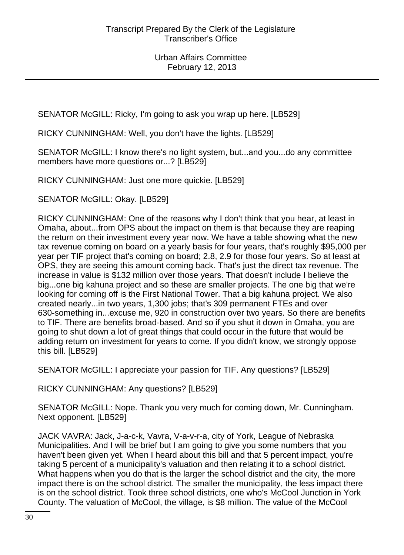SENATOR McGILL: Ricky, I'm going to ask you wrap up here. [LB529]

RICKY CUNNINGHAM: Well, you don't have the lights. [LB529]

SENATOR McGILL: I know there's no light system, but...and you...do any committee members have more questions or...? [LB529]

RICKY CUNNINGHAM: Just one more quickie. [LB529]

SENATOR McGILL: Okay. [LB529]

RICKY CUNNINGHAM: One of the reasons why I don't think that you hear, at least in Omaha, about...from OPS about the impact on them is that because they are reaping the return on their investment every year now. We have a table showing what the new tax revenue coming on board on a yearly basis for four years, that's roughly \$95,000 per year per TIF project that's coming on board; 2.8, 2.9 for those four years. So at least at OPS, they are seeing this amount coming back. That's just the direct tax revenue. The increase in value is \$132 million over those years. That doesn't include I believe the big...one big kahuna project and so these are smaller projects. The one big that we're looking for coming off is the First National Tower. That a big kahuna project. We also created nearly...in two years, 1,300 jobs; that's 309 permanent FTEs and over 630-something in...excuse me, 920 in construction over two years. So there are benefits to TIF. There are benefits broad-based. And so if you shut it down in Omaha, you are going to shut down a lot of great things that could occur in the future that would be adding return on investment for years to come. If you didn't know, we strongly oppose this bill. [LB529]

SENATOR McGILL: I appreciate your passion for TIF. Any questions? [LB529]

RICKY CUNNINGHAM: Any questions? [LB529]

SENATOR McGILL: Nope. Thank you very much for coming down, Mr. Cunningham. Next opponent. [LB529]

JACK VAVRA: Jack, J-a-c-k, Vavra, V-a-v-r-a, city of York, League of Nebraska Municipalities. And I will be brief but I am going to give you some numbers that you haven't been given yet. When I heard about this bill and that 5 percent impact, you're taking 5 percent of a municipality's valuation and then relating it to a school district. What happens when you do that is the larger the school district and the city, the more impact there is on the school district. The smaller the municipality, the less impact there is on the school district. Took three school districts, one who's McCool Junction in York County. The valuation of McCool, the village, is \$8 million. The value of the McCool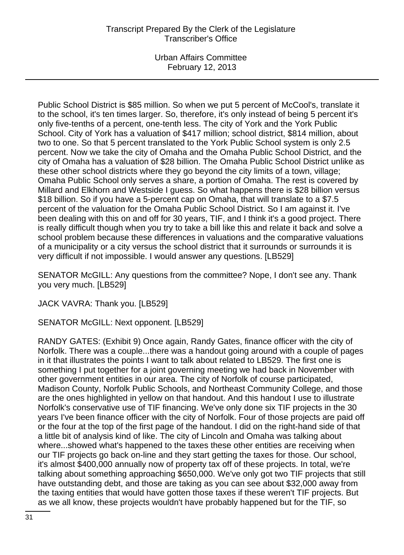Urban Affairs Committee February 12, 2013

Public School District is \$85 million. So when we put 5 percent of McCool's, translate it to the school, it's ten times larger. So, therefore, it's only instead of being 5 percent it's only five-tenths of a percent, one-tenth less. The city of York and the York Public School. City of York has a valuation of \$417 million; school district, \$814 million, about two to one. So that 5 percent translated to the York Public School system is only 2.5 percent. Now we take the city of Omaha and the Omaha Public School District, and the city of Omaha has a valuation of \$28 billion. The Omaha Public School District unlike as these other school districts where they go beyond the city limits of a town, village; Omaha Public School only serves a share, a portion of Omaha. The rest is covered by Millard and Elkhorn and Westside I guess. So what happens there is \$28 billion versus \$18 billion. So if you have a 5-percent cap on Omaha, that will translate to a \$7.5 percent of the valuation for the Omaha Public School District. So I am against it. I've been dealing with this on and off for 30 years, TIF, and I think it's a good project. There is really difficult though when you try to take a bill like this and relate it back and solve a school problem because these differences in valuations and the comparative valuations of a municipality or a city versus the school district that it surrounds or surrounds it is very difficult if not impossible. I would answer any questions. [LB529]

SENATOR McGILL: Any questions from the committee? Nope, I don't see any. Thank you very much. [LB529]

JACK VAVRA: Thank you. [LB529]

SENATOR McGILL: Next opponent. [LB529]

RANDY GATES: (Exhibit 9) Once again, Randy Gates, finance officer with the city of Norfolk. There was a couple...there was a handout going around with a couple of pages in it that illustrates the points I want to talk about related to LB529. The first one is something I put together for a joint governing meeting we had back in November with other government entities in our area. The city of Norfolk of course participated, Madison County, Norfolk Public Schools, and Northeast Community College, and those are the ones highlighted in yellow on that handout. And this handout I use to illustrate Norfolk's conservative use of TIF financing. We've only done six TIF projects in the 30 years I've been finance officer with the city of Norfolk. Four of those projects are paid off or the four at the top of the first page of the handout. I did on the right-hand side of that a little bit of analysis kind of like. The city of Lincoln and Omaha was talking about where...showed what's happened to the taxes these other entities are receiving when our TIF projects go back on-line and they start getting the taxes for those. Our school, it's almost \$400,000 annually now of property tax off of these projects. In total, we're talking about something approaching \$650,000. We've only got two TIF projects that still have outstanding debt, and those are taking as you can see about \$32,000 away from the taxing entities that would have gotten those taxes if these weren't TIF projects. But as we all know, these projects wouldn't have probably happened but for the TIF, so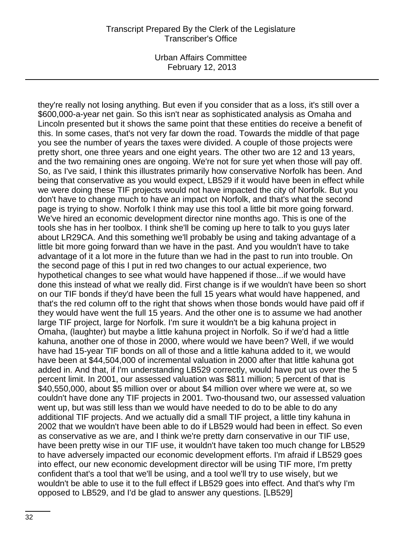Urban Affairs Committee February 12, 2013

they're really not losing anything. But even if you consider that as a loss, it's still over a \$600,000-a-year net gain. So this isn't near as sophisticated analysis as Omaha and Lincoln presented but it shows the same point that these entities do receive a benefit of this. In some cases, that's not very far down the road. Towards the middle of that page you see the number of years the taxes were divided. A couple of those projects were pretty short, one three years and one eight years. The other two are 12 and 13 years, and the two remaining ones are ongoing. We're not for sure yet when those will pay off. So, as I've said, I think this illustrates primarily how conservative Norfolk has been. And being that conservative as you would expect, LB529 if it would have been in effect while we were doing these TIF projects would not have impacted the city of Norfolk. But you don't have to change much to have an impact on Norfolk, and that's what the second page is trying to show. Norfolk I think may use this tool a little bit more going forward. We've hired an economic development director nine months ago. This is one of the tools she has in her toolbox. I think she'll be coming up here to talk to you guys later about LR29CA. And this something we'll probably be using and taking advantage of a little bit more going forward than we have in the past. And you wouldn't have to take advantage of it a lot more in the future than we had in the past to run into trouble. On the second page of this I put in red two changes to our actual experience, two hypothetical changes to see what would have happened if those...if we would have done this instead of what we really did. First change is if we wouldn't have been so short on our TIF bonds if they'd have been the full 15 years what would have happened, and that's the red column off to the right that shows when those bonds would have paid off if they would have went the full 15 years. And the other one is to assume we had another large TIF project, large for Norfolk. I'm sure it wouldn't be a big kahuna project in Omaha, (laughter) but maybe a little kahuna project in Norfolk. So if we'd had a little kahuna, another one of those in 2000, where would we have been? Well, if we would have had 15-year TIF bonds on all of those and a little kahuna added to it, we would have been at \$44,504,000 of incremental valuation in 2000 after that little kahuna got added in. And that, if I'm understanding LB529 correctly, would have put us over the 5 percent limit. In 2001, our assessed valuation was \$811 million; 5 percent of that is \$40,550,000, about \$5 million over or about \$4 million over where we were at, so we couldn't have done any TIF projects in 2001. Two-thousand two, our assessed valuation went up, but was still less than we would have needed to do to be able to do any additional TIF projects. And we actually did a small TIF project, a little tiny kahuna in 2002 that we wouldn't have been able to do if LB529 would had been in effect. So even as conservative as we are, and I think we're pretty darn conservative in our TIF use, have been pretty wise in our TIF use, it wouldn't have taken too much change for LB529 to have adversely impacted our economic development efforts. I'm afraid if LB529 goes into effect, our new economic development director will be using TIF more, I'm pretty confident that's a tool that we'll be using, and a tool we'll try to use wisely, but we wouldn't be able to use it to the full effect if LB529 goes into effect. And that's why I'm opposed to LB529, and I'd be glad to answer any questions. [LB529]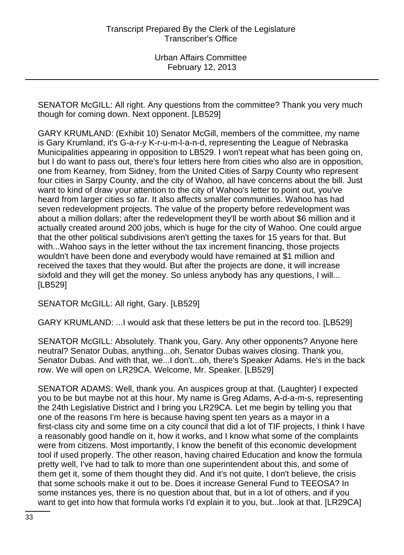SENATOR McGILL: All right. Any questions from the committee? Thank you very much though for coming down. Next opponent. [LB529]

GARY KRUMLAND: (Exhibit 10) Senator McGill, members of the committee, my name is Gary Krumland, it's G-a-r-y K-r-u-m-l-a-n-d, representing the League of Nebraska Municipalities appearing in opposition to LB529. I won't repeat what has been going on, but I do want to pass out, there's four letters here from cities who also are in opposition, one from Kearney, from Sidney, from the United Cities of Sarpy County who represent four cities in Sarpy County, and the city of Wahoo, all have concerns about the bill. Just want to kind of draw your attention to the city of Wahoo's letter to point out, you've heard from larger cities so far. It also affects smaller communities. Wahoo has had seven redevelopment projects. The value of the property before redevelopment was about a million dollars; after the redevelopment they'll be worth about \$6 million and it actually created around 200 jobs, which is huge for the city of Wahoo. One could argue that the other political subdivisions aren't getting the taxes for 15 years for that. But with...Wahoo says in the letter without the tax increment financing, those projects wouldn't have been done and everybody would have remained at \$1 million and received the taxes that they would. But after the projects are done, it will increase sixfold and they will get the money. So unless anybody has any questions, I will... [LB529]

SENATOR McGILL: All right, Gary. [LB529]

GARY KRUMLAND: ...I would ask that these letters be put in the record too. [LB529]

SENATOR McGILL: Absolutely. Thank you, Gary. Any other opponents? Anyone here neutral? Senator Dubas, anything...oh, Senator Dubas waives closing. Thank you, Senator Dubas. And with that, we...I don't...oh, there's Speaker Adams. He's in the back row. We will open on LR29CA. Welcome, Mr. Speaker. [LB529]

SENATOR ADAMS: Well, thank you. An auspices group at that. (Laughter) I expected you to be but maybe not at this hour. My name is Greg Adams, A-d-a-m-s, representing the 24th Legislative District and I bring you LR29CA. Let me begin by telling you that one of the reasons I'm here is because having spent ten years as a mayor in a first-class city and some time on a city council that did a lot of TIF projects, I think I have a reasonably good handle on it, how it works, and I know what some of the complaints were from citizens. Most importantly, I know the benefit of this economic development tool if used properly. The other reason, having chaired Education and know the formula pretty well, I've had to talk to more than one superintendent about this, and some of them get it, some of them thought they did. And it's not quite, I don't believe, the crisis that some schools make it out to be. Does it increase General Fund to TEEOSA? In some instances yes, there is no question about that, but in a lot of others, and if you want to get into how that formula works I'd explain it to you, but...look at that. [LR29CA]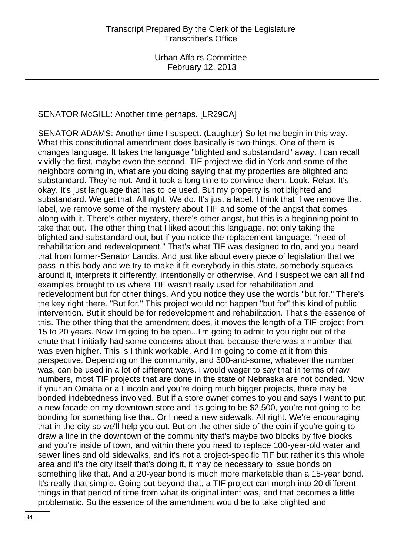### SENATOR McGILL: Another time perhaps. [LR29CA]

SENATOR ADAMS: Another time I suspect. (Laughter) So let me begin in this way. What this constitutional amendment does basically is two things. One of them is changes language. It takes the language "blighted and substandard" away. I can recall vividly the first, maybe even the second, TIF project we did in York and some of the neighbors coming in, what are you doing saying that my properties are blighted and substandard. They're not. And it took a long time to convince them. Look. Relax. It's okay. It's just language that has to be used. But my property is not blighted and substandard. We get that. All right. We do. It's just a label. I think that if we remove that label, we remove some of the mystery about TIF and some of the angst that comes along with it. There's other mystery, there's other angst, but this is a beginning point to take that out. The other thing that I liked about this language, not only taking the blighted and substandard out, but if you notice the replacement language, "need of rehabilitation and redevelopment." That's what TIF was designed to do, and you heard that from former-Senator Landis. And just like about every piece of legislation that we pass in this body and we try to make it fit everybody in this state, somebody squeaks around it, interprets it differently, intentionally or otherwise. And I suspect we can all find examples brought to us where TIF wasn't really used for rehabilitation and redevelopment but for other things. And you notice they use the words "but for." There's the key right there. "But for." This project would not happen "but for" this kind of public intervention. But it should be for redevelopment and rehabilitation. That's the essence of this. The other thing that the amendment does, it moves the length of a TIF project from 15 to 20 years. Now I'm going to be open...I'm going to admit to you right out of the chute that I initially had some concerns about that, because there was a number that was even higher. This is I think workable. And I'm going to come at it from this perspective. Depending on the community, and 500-and-some, whatever the number was, can be used in a lot of different ways. I would wager to say that in terms of raw numbers, most TIF projects that are done in the state of Nebraska are not bonded. Now if your an Omaha or a Lincoln and you're doing much bigger projects, there may be bonded indebtedness involved. But if a store owner comes to you and says I want to put a new facade on my downtown store and it's going to be \$2,500, you're not going to be bonding for something like that. Or I need a new sidewalk. All right. We're encouraging that in the city so we'll help you out. But on the other side of the coin if you're going to draw a line in the downtown of the community that's maybe two blocks by five blocks and you're inside of town, and within there you need to replace 100-year-old water and sewer lines and old sidewalks, and it's not a project-specific TIF but rather it's this whole area and it's the city itself that's doing it, it may be necessary to issue bonds on something like that. And a 20-year bond is much more marketable than a 15-year bond. It's really that simple. Going out beyond that, a TIF project can morph into 20 different things in that period of time from what its original intent was, and that becomes a little problematic. So the essence of the amendment would be to take blighted and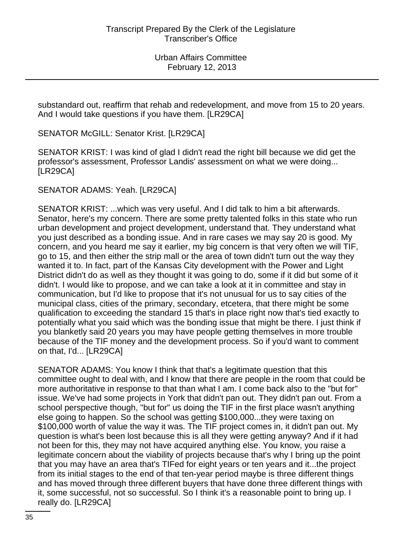substandard out, reaffirm that rehab and redevelopment, and move from 15 to 20 years. And I would take questions if you have them. [LR29CA]

SENATOR McGILL: Senator Krist. [LR29CA]

SENATOR KRIST: I was kind of glad I didn't read the right bill because we did get the professor's assessment, Professor Landis' assessment on what we were doing... [LR29CA]

SENATOR ADAMS: Yeah. [LR29CA]

SENATOR KRIST: ...which was very useful. And I did talk to him a bit afterwards. Senator, here's my concern. There are some pretty talented folks in this state who run urban development and project development, understand that. They understand what you just described as a bonding issue. And in rare cases we may say 20 is good. My concern, and you heard me say it earlier, my big concern is that very often we will TIF, go to 15, and then either the strip mall or the area of town didn't turn out the way they wanted it to. In fact, part of the Kansas City development with the Power and Light District didn't do as well as they thought it was going to do, some if it did but some of it didn't. I would like to propose, and we can take a look at it in committee and stay in communication, but I'd like to propose that it's not unusual for us to say cities of the municipal class, cities of the primary, secondary, etcetera, that there might be some qualification to exceeding the standard 15 that's in place right now that's tied exactly to potentially what you said which was the bonding issue that might be there. I just think if you blanketly said 20 years you may have people getting themselves in more trouble because of the TIF money and the development process. So if you'd want to comment on that, I'd... [LR29CA]

SENATOR ADAMS: You know I think that that's a legitimate question that this committee ought to deal with, and I know that there are people in the room that could be more authoritative in response to that than what I am. I come back also to the "but for" issue. We've had some projects in York that didn't pan out. They didn't pan out. From a school perspective though, "but for" us doing the TIF in the first place wasn't anything else going to happen. So the school was getting \$100,000...they were taxing on \$100,000 worth of value the way it was. The TIF project comes in, it didn't pan out. My question is what's been lost because this is all they were getting anyway? And if it had not been for this, they may not have acquired anything else. You know, you raise a legitimate concern about the viability of projects because that's why I bring up the point that you may have an area that's TIFed for eight years or ten years and it...the project from its initial stages to the end of that ten-year period maybe is three different things and has moved through three different buyers that have done three different things with it, some successful, not so successful. So I think it's a reasonable point to bring up. I really do. [LR29CA]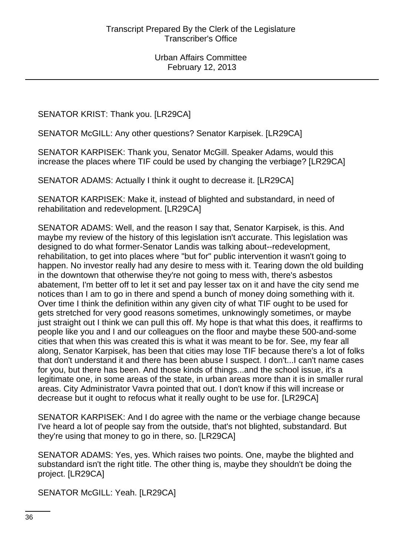SENATOR KRIST: Thank you. [LR29CA]

SENATOR McGILL: Any other questions? Senator Karpisek. [LR29CA]

SENATOR KARPISEK: Thank you, Senator McGill. Speaker Adams, would this increase the places where TIF could be used by changing the verbiage? [LR29CA]

SENATOR ADAMS: Actually I think it ought to decrease it. [LR29CA]

SENATOR KARPISEK: Make it, instead of blighted and substandard, in need of rehabilitation and redevelopment. [LR29CA]

SENATOR ADAMS: Well, and the reason I say that, Senator Karpisek, is this. And maybe my review of the history of this legislation isn't accurate. This legislation was designed to do what former-Senator Landis was talking about--redevelopment, rehabilitation, to get into places where "but for" public intervention it wasn't going to happen. No investor really had any desire to mess with it. Tearing down the old building in the downtown that otherwise they're not going to mess with, there's asbestos abatement, I'm better off to let it set and pay lesser tax on it and have the city send me notices than I am to go in there and spend a bunch of money doing something with it. Over time I think the definition within any given city of what TIF ought to be used for gets stretched for very good reasons sometimes, unknowingly sometimes, or maybe just straight out I think we can pull this off. My hope is that what this does, it reaffirms to people like you and I and our colleagues on the floor and maybe these 500-and-some cities that when this was created this is what it was meant to be for. See, my fear all along, Senator Karpisek, has been that cities may lose TIF because there's a lot of folks that don't understand it and there has been abuse I suspect. I don't...I can't name cases for you, but there has been. And those kinds of things...and the school issue, it's a legitimate one, in some areas of the state, in urban areas more than it is in smaller rural areas. City Administrator Vavra pointed that out. I don't know if this will increase or decrease but it ought to refocus what it really ought to be use for. [LR29CA]

SENATOR KARPISEK: And I do agree with the name or the verbiage change because I've heard a lot of people say from the outside, that's not blighted, substandard. But they're using that money to go in there, so. [LR29CA]

SENATOR ADAMS: Yes, yes. Which raises two points. One, maybe the blighted and substandard isn't the right title. The other thing is, maybe they shouldn't be doing the project. [LR29CA]

SENATOR McGILL: Yeah. [LR29CA]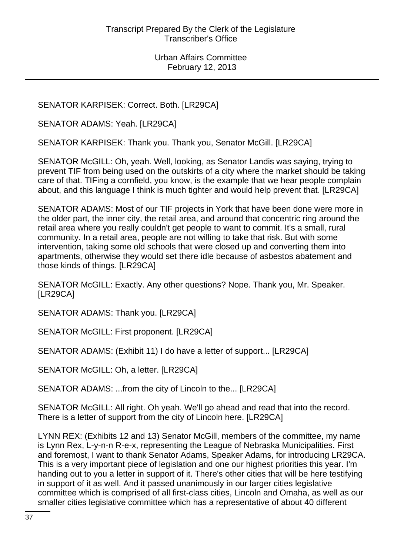SENATOR KARPISEK: Correct. Both. [LR29CA]

SENATOR ADAMS: Yeah. [LR29CA]

SENATOR KARPISEK: Thank you. Thank you, Senator McGill. [LR29CA]

SENATOR McGILL: Oh, yeah. Well, looking, as Senator Landis was saying, trying to prevent TIF from being used on the outskirts of a city where the market should be taking care of that. TIFing a cornfield, you know, is the example that we hear people complain about, and this language I think is much tighter and would help prevent that. [LR29CA]

SENATOR ADAMS: Most of our TIF projects in York that have been done were more in the older part, the inner city, the retail area, and around that concentric ring around the retail area where you really couldn't get people to want to commit. It's a small, rural community. In a retail area, people are not willing to take that risk. But with some intervention, taking some old schools that were closed up and converting them into apartments, otherwise they would set there idle because of asbestos abatement and those kinds of things. [LR29CA]

SENATOR McGILL: Exactly. Any other questions? Nope. Thank you, Mr. Speaker. [LR29CA]

SENATOR ADAMS: Thank you. [LR29CA]

SENATOR McGILL: First proponent. [LR29CA]

SENATOR ADAMS: (Exhibit 11) I do have a letter of support... [LR29CA]

SENATOR McGILL: Oh, a letter. [LR29CA]

SENATOR ADAMS: ...from the city of Lincoln to the... [LR29CA]

SENATOR McGILL: All right. Oh yeah. We'll go ahead and read that into the record. There is a letter of support from the city of Lincoln here. [LR29CA]

LYNN REX: (Exhibits 12 and 13) Senator McGill, members of the committee, my name is Lynn Rex, L-y-n-n R-e-x, representing the League of Nebraska Municipalities. First and foremost, I want to thank Senator Adams, Speaker Adams, for introducing LR29CA. This is a very important piece of legislation and one our highest priorities this year. I'm handing out to you a letter in support of it. There's other cities that will be here testifying in support of it as well. And it passed unanimously in our larger cities legislative committee which is comprised of all first-class cities, Lincoln and Omaha, as well as our smaller cities legislative committee which has a representative of about 40 different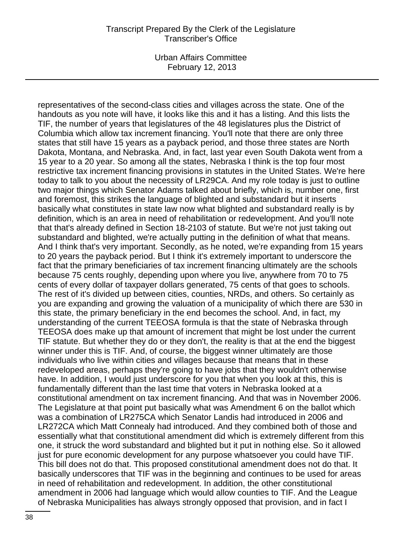Urban Affairs Committee February 12, 2013

representatives of the second-class cities and villages across the state. One of the handouts as you note will have, it looks like this and it has a listing. And this lists the TIF, the number of years that legislatures of the 48 legislatures plus the District of Columbia which allow tax increment financing. You'll note that there are only three states that still have 15 years as a payback period, and those three states are North Dakota, Montana, and Nebraska. And, in fact, last year even South Dakota went from a 15 year to a 20 year. So among all the states, Nebraska I think is the top four most restrictive tax increment financing provisions in statutes in the United States. We're here today to talk to you about the necessity of LR29CA. And my role today is just to outline two major things which Senator Adams talked about briefly, which is, number one, first and foremost, this strikes the language of blighted and substandard but it inserts basically what constitutes in state law now what blighted and substandard really is by definition, which is an area in need of rehabilitation or redevelopment. And you'll note that that's already defined in Section 18-2103 of statute. But we're not just taking out substandard and blighted, we're actually putting in the definition of what that means. And I think that's very important. Secondly, as he noted, we're expanding from 15 years to 20 years the payback period. But I think it's extremely important to underscore the fact that the primary beneficiaries of tax increment financing ultimately are the schools because 75 cents roughly, depending upon where you live, anywhere from 70 to 75 cents of every dollar of taxpayer dollars generated, 75 cents of that goes to schools. The rest of it's divided up between cities, counties, NRDs, and others. So certainly as you are expanding and growing the valuation of a municipality of which there are 530 in this state, the primary beneficiary in the end becomes the school. And, in fact, my understanding of the current TEEOSA formula is that the state of Nebraska through TEEOSA does make up that amount of increment that might be lost under the current TIF statute. But whether they do or they don't, the reality is that at the end the biggest winner under this is TIF. And, of course, the biggest winner ultimately are those individuals who live within cities and villages because that means that in these redeveloped areas, perhaps they're going to have jobs that they wouldn't otherwise have. In addition, I would just underscore for you that when you look at this, this is fundamentally different than the last time that voters in Nebraska looked at a constitutional amendment on tax increment financing. And that was in November 2006. The Legislature at that point put basically what was Amendment 6 on the ballot which was a combination of LR275CA which Senator Landis had introduced in 2006 and LR272CA which Matt Connealy had introduced. And they combined both of those and essentially what that constitutional amendment did which is extremely different from this one, it struck the word substandard and blighted but it put in nothing else. So it allowed just for pure economic development for any purpose whatsoever you could have TIF. This bill does not do that. This proposed constitutional amendment does not do that. It basically underscores that TIF was in the beginning and continues to be used for areas in need of rehabilitation and redevelopment. In addition, the other constitutional amendment in 2006 had language which would allow counties to TIF. And the League of Nebraska Municipalities has always strongly opposed that provision, and in fact I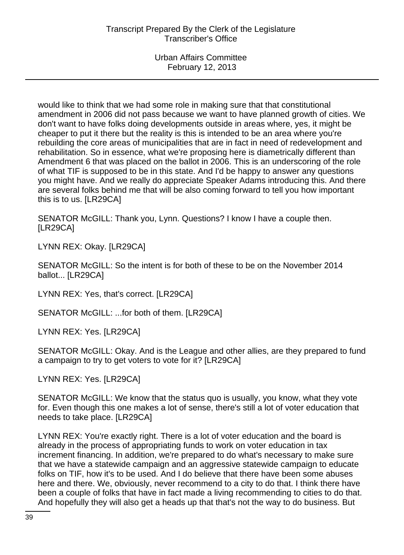would like to think that we had some role in making sure that that constitutional amendment in 2006 did not pass because we want to have planned growth of cities. We don't want to have folks doing developments outside in areas where, yes, it might be cheaper to put it there but the reality is this is intended to be an area where you're rebuilding the core areas of municipalities that are in fact in need of redevelopment and rehabilitation. So in essence, what we're proposing here is diametrically different than Amendment 6 that was placed on the ballot in 2006. This is an underscoring of the role of what TIF is supposed to be in this state. And I'd be happy to answer any questions you might have. And we really do appreciate Speaker Adams introducing this. And there are several folks behind me that will be also coming forward to tell you how important this is to us. [LR29CA]

SENATOR McGILL: Thank you, Lynn. Questions? I know I have a couple then. [LR29CA]

LYNN REX: Okay. [LR29CA]

SENATOR McGILL: So the intent is for both of these to be on the November 2014 ballot... [LR29CA]

LYNN REX: Yes, that's correct. [LR29CA]

SENATOR McGILL: ...for both of them. [LR29CA]

LYNN REX: Yes. [LR29CA]

SENATOR McGILL: Okay. And is the League and other allies, are they prepared to fund a campaign to try to get voters to vote for it? [LR29CA]

LYNN REX: Yes. [LR29CA]

SENATOR McGILL: We know that the status quo is usually, you know, what they vote for. Even though this one makes a lot of sense, there's still a lot of voter education that needs to take place. [LR29CA]

LYNN REX: You're exactly right. There is a lot of voter education and the board is already in the process of appropriating funds to work on voter education in tax increment financing. In addition, we're prepared to do what's necessary to make sure that we have a statewide campaign and an aggressive statewide campaign to educate folks on TIF, how it's to be used. And I do believe that there have been some abuses here and there. We, obviously, never recommend to a city to do that. I think there have been a couple of folks that have in fact made a living recommending to cities to do that. And hopefully they will also get a heads up that that's not the way to do business. But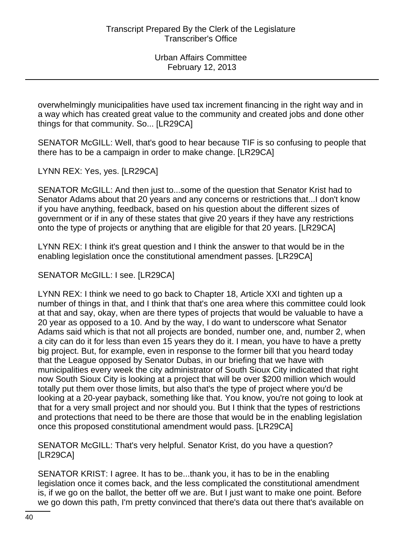overwhelmingly municipalities have used tax increment financing in the right way and in a way which has created great value to the community and created jobs and done other things for that community. So... [LR29CA]

SENATOR McGILL: Well, that's good to hear because TIF is so confusing to people that there has to be a campaign in order to make change. [LR29CA]

LYNN REX: Yes, yes. [LR29CA]

SENATOR McGILL: And then just to...some of the question that Senator Krist had to Senator Adams about that 20 years and any concerns or restrictions that...I don't know if you have anything, feedback, based on his question about the different sizes of government or if in any of these states that give 20 years if they have any restrictions onto the type of projects or anything that are eligible for that 20 years. [LR29CA]

LYNN REX: I think it's great question and I think the answer to that would be in the enabling legislation once the constitutional amendment passes. [LR29CA]

SENATOR McGILL: I see. [LR29CA]

LYNN REX: I think we need to go back to Chapter 18, Article XXI and tighten up a number of things in that, and I think that that's one area where this committee could look at that and say, okay, when are there types of projects that would be valuable to have a 20 year as opposed to a 10. And by the way, I do want to underscore what Senator Adams said which is that not all projects are bonded, number one, and, number 2, when a city can do it for less than even 15 years they do it. I mean, you have to have a pretty big project. But, for example, even in response to the former bill that you heard today that the League opposed by Senator Dubas, in our briefing that we have with municipalities every week the city administrator of South Sioux City indicated that right now South Sioux City is looking at a project that will be over \$200 million which would totally put them over those limits, but also that's the type of project where you'd be looking at a 20-year payback, something like that. You know, you're not going to look at that for a very small project and nor should you. But I think that the types of restrictions and protections that need to be there are those that would be in the enabling legislation once this proposed constitutional amendment would pass. [LR29CA]

SENATOR McGILL: That's very helpful. Senator Krist, do you have a question? [LR29CA]

SENATOR KRIST: I agree. It has to be...thank you, it has to be in the enabling legislation once it comes back, and the less complicated the constitutional amendment is, if we go on the ballot, the better off we are. But I just want to make one point. Before we go down this path, I'm pretty convinced that there's data out there that's available on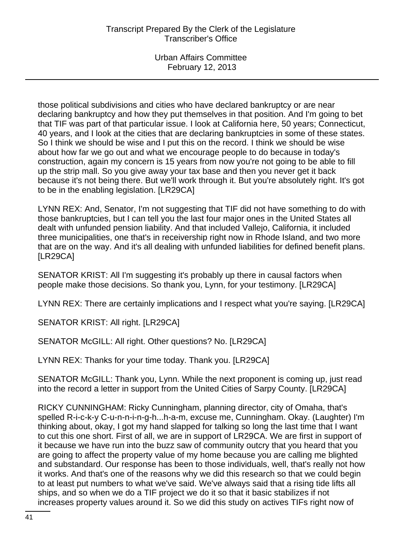those political subdivisions and cities who have declared bankruptcy or are near declaring bankruptcy and how they put themselves in that position. And I'm going to bet that TIF was part of that particular issue. I look at California here, 50 years; Connecticut, 40 years, and I look at the cities that are declaring bankruptcies in some of these states. So I think we should be wise and I put this on the record. I think we should be wise about how far we go out and what we encourage people to do because in today's construction, again my concern is 15 years from now you're not going to be able to fill up the strip mall. So you give away your tax base and then you never get it back because it's not being there. But we'll work through it. But you're absolutely right. It's got to be in the enabling legislation. [LR29CA]

LYNN REX: And, Senator, I'm not suggesting that TIF did not have something to do with those bankruptcies, but I can tell you the last four major ones in the United States all dealt with unfunded pension liability. And that included Vallejo, California, it included three municipalities, one that's in receivership right now in Rhode Island, and two more that are on the way. And it's all dealing with unfunded liabilities for defined benefit plans. [LR29CA]

SENATOR KRIST: All I'm suggesting it's probably up there in causal factors when people make those decisions. So thank you, Lynn, for your testimony. [LR29CA]

LYNN REX: There are certainly implications and I respect what you're saying. [LR29CA]

SENATOR KRIST: All right. [LR29CA]

SENATOR McGILL: All right. Other questions? No. [LR29CA]

LYNN REX: Thanks for your time today. Thank you. [LR29CA]

SENATOR McGILL: Thank you, Lynn. While the next proponent is coming up, just read into the record a letter in support from the United Cities of Sarpy County. [LR29CA]

RICKY CUNNINGHAM: Ricky Cunningham, planning director, city of Omaha, that's spelled R-i-c-k-y C-u-n-n-i-n-g-h...h-a-m, excuse me, Cunningham. Okay. (Laughter) I'm thinking about, okay, I got my hand slapped for talking so long the last time that I want to cut this one short. First of all, we are in support of LR29CA. We are first in support of it because we have run into the buzz saw of community outcry that you heard that you are going to affect the property value of my home because you are calling me blighted and substandard. Our response has been to those individuals, well, that's really not how it works. And that's one of the reasons why we did this research so that we could begin to at least put numbers to what we've said. We've always said that a rising tide lifts all ships, and so when we do a TIF project we do it so that it basic stabilizes if not increases property values around it. So we did this study on actives TIFs right now of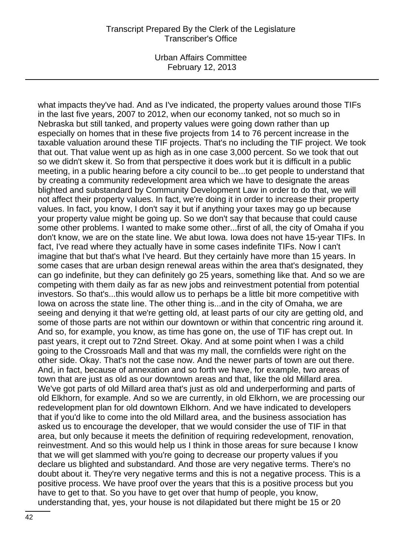Urban Affairs Committee February 12, 2013

what impacts they've had. And as I've indicated, the property values around those TIFs in the last five years, 2007 to 2012, when our economy tanked, not so much so in Nebraska but still tanked, and property values were going down rather than up especially on homes that in these five projects from 14 to 76 percent increase in the taxable valuation around these TIF projects. That's no including the TIF project. We took that out. That value went up as high as in one case 3,000 percent. So we took that out so we didn't skew it. So from that perspective it does work but it is difficult in a public meeting, in a public hearing before a city council to be...to get people to understand that by creating a community redevelopment area which we have to designate the areas blighted and substandard by Community Development Law in order to do that, we will not affect their property values. In fact, we're doing it in order to increase their property values. In fact, you know, I don't say it but if anything your taxes may go up because your property value might be going up. So we don't say that because that could cause some other problems. I wanted to make some other...first of all, the city of Omaha if you don't know, we are on the state line. We abut Iowa. Iowa does not have 15-year TIFs. In fact, I've read where they actually have in some cases indefinite TIFs. Now I can't imagine that but that's what I've heard. But they certainly have more than 15 years. In some cases that are urban design renewal areas within the area that's designated, they can go indefinite, but they can definitely go 25 years, something like that. And so we are competing with them daily as far as new jobs and reinvestment potential from potential investors. So that's...this would allow us to perhaps be a little bit more competitive with Iowa on across the state line. The other thing is...and in the city of Omaha, we are seeing and denying it that we're getting old, at least parts of our city are getting old, and some of those parts are not within our downtown or within that concentric ring around it. And so, for example, you know, as time has gone on, the use of TIF has crept out. In past years, it crept out to 72nd Street. Okay. And at some point when I was a child going to the Crossroads Mall and that was my mall, the cornfields were right on the other side. Okay. That's not the case now. And the newer parts of town are out there. And, in fact, because of annexation and so forth we have, for example, two areas of town that are just as old as our downtown areas and that, like the old Millard area. We've got parts of old Millard area that's just as old and underperforming and parts of old Elkhorn, for example. And so we are currently, in old Elkhorn, we are processing our redevelopment plan for old downtown Elkhorn. And we have indicated to developers that if you'd like to come into the old Millard area, and the business association has asked us to encourage the developer, that we would consider the use of TIF in that area, but only because it meets the definition of requiring redevelopment, renovation, reinvestment. And so this would help us I think in those areas for sure because I know that we will get slammed with you're going to decrease our property values if you declare us blighted and substandard. And those are very negative terms. There's no doubt about it. They're very negative terms and this is not a negative process. This is a positive process. We have proof over the years that this is a positive process but you have to get to that. So you have to get over that hump of people, you know, understanding that, yes, your house is not dilapidated but there might be 15 or 20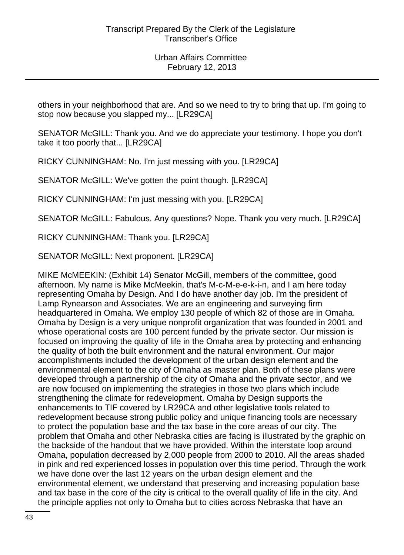others in your neighborhood that are. And so we need to try to bring that up. I'm going to stop now because you slapped my... [LR29CA]

SENATOR McGILL: Thank you. And we do appreciate your testimony. I hope you don't take it too poorly that... [LR29CA]

RICKY CUNNINGHAM: No. I'm just messing with you. [LR29CA]

SENATOR McGILL: We've gotten the point though. [LR29CA]

RICKY CUNNINGHAM: I'm just messing with you. [LR29CA]

SENATOR McGILL: Fabulous. Any questions? Nope. Thank you very much. [LR29CA]

RICKY CUNNINGHAM: Thank you. [LR29CA]

SENATOR McGILL: Next proponent. [LR29CA]

MIKE McMEEKIN: (Exhibit 14) Senator McGill, members of the committee, good afternoon. My name is Mike McMeekin, that's M-c-M-e-e-k-i-n, and I am here today representing Omaha by Design. And I do have another day job. I'm the president of Lamp Rynearson and Associates. We are an engineering and surveying firm headquartered in Omaha. We employ 130 people of which 82 of those are in Omaha. Omaha by Design is a very unique nonprofit organization that was founded in 2001 and whose operational costs are 100 percent funded by the private sector. Our mission is focused on improving the quality of life in the Omaha area by protecting and enhancing the quality of both the built environment and the natural environment. Our major accomplishments included the development of the urban design element and the environmental element to the city of Omaha as master plan. Both of these plans were developed through a partnership of the city of Omaha and the private sector, and we are now focused on implementing the strategies in those two plans which include strengthening the climate for redevelopment. Omaha by Design supports the enhancements to TIF covered by LR29CA and other legislative tools related to redevelopment because strong public policy and unique financing tools are necessary to protect the population base and the tax base in the core areas of our city. The problem that Omaha and other Nebraska cities are facing is illustrated by the graphic on the backside of the handout that we have provided. Within the interstate loop around Omaha, population decreased by 2,000 people from 2000 to 2010. All the areas shaded in pink and red experienced losses in population over this time period. Through the work we have done over the last 12 years on the urban design element and the environmental element, we understand that preserving and increasing population base and tax base in the core of the city is critical to the overall quality of life in the city. And the principle applies not only to Omaha but to cities across Nebraska that have an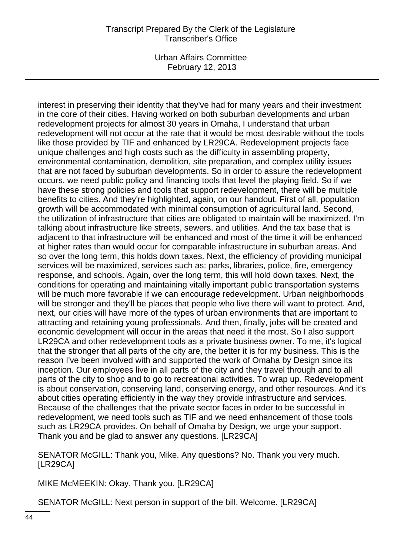Urban Affairs Committee February 12, 2013

interest in preserving their identity that they've had for many years and their investment in the core of their cities. Having worked on both suburban developments and urban redevelopment projects for almost 30 years in Omaha, I understand that urban redevelopment will not occur at the rate that it would be most desirable without the tools like those provided by TIF and enhanced by LR29CA. Redevelopment projects face unique challenges and high costs such as the difficulty in assembling property, environmental contamination, demolition, site preparation, and complex utility issues that are not faced by suburban developments. So in order to assure the redevelopment occurs, we need public policy and financing tools that level the playing field. So if we have these strong policies and tools that support redevelopment, there will be multiple benefits to cities. And they're highlighted, again, on our handout. First of all, population growth will be accommodated with minimal consumption of agricultural land. Second, the utilization of infrastructure that cities are obligated to maintain will be maximized. I'm talking about infrastructure like streets, sewers, and utilities. And the tax base that is adjacent to that infrastructure will be enhanced and most of the time it will be enhanced at higher rates than would occur for comparable infrastructure in suburban areas. And so over the long term, this holds down taxes. Next, the efficiency of providing municipal services will be maximized, services such as: parks, libraries, police, fire, emergency response, and schools. Again, over the long term, this will hold down taxes. Next, the conditions for operating and maintaining vitally important public transportation systems will be much more favorable if we can encourage redevelopment. Urban neighborhoods will be stronger and they'll be places that people who live there will want to protect. And, next, our cities will have more of the types of urban environments that are important to attracting and retaining young professionals. And then, finally, jobs will be created and economic development will occur in the areas that need it the most. So I also support LR29CA and other redevelopment tools as a private business owner. To me, it's logical that the stronger that all parts of the city are, the better it is for my business. This is the reason I've been involved with and supported the work of Omaha by Design since its inception. Our employees live in all parts of the city and they travel through and to all parts of the city to shop and to go to recreational activities. To wrap up. Redevelopment is about conservation, conserving land, conserving energy, and other resources. And it's about cities operating efficiently in the way they provide infrastructure and services. Because of the challenges that the private sector faces in order to be successful in redevelopment, we need tools such as TIF and we need enhancement of those tools such as LR29CA provides. On behalf of Omaha by Design, we urge your support. Thank you and be glad to answer any questions. [LR29CA]

SENATOR McGILL: Thank you, Mike. Any questions? No. Thank you very much. [LR29CA]

MIKE McMEEKIN: Okay. Thank you. [LR29CA]

SENATOR McGILL: Next person in support of the bill. Welcome. [LR29CA]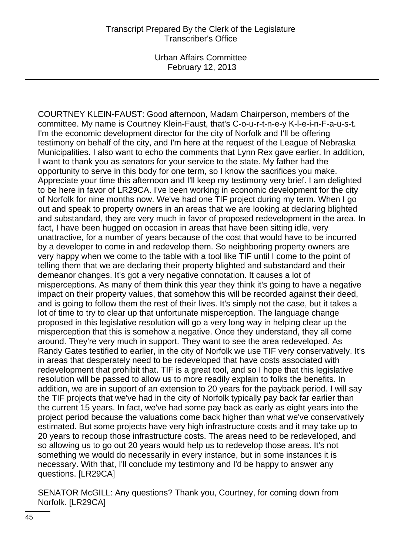COURTNEY KLEIN-FAUST: Good afternoon, Madam Chairperson, members of the committee. My name is Courtney Klein-Faust, that's C-o-u-r-t-n-e-y K-l-e-i-n-F-a-u-s-t. I'm the economic development director for the city of Norfolk and I'll be offering testimony on behalf of the city, and I'm here at the request of the League of Nebraska Municipalities. I also want to echo the comments that Lynn Rex gave earlier. In addition, I want to thank you as senators for your service to the state. My father had the opportunity to serve in this body for one term, so I know the sacrifices you make. Appreciate your time this afternoon and I'll keep my testimony very brief. I am delighted to be here in favor of LR29CA. I've been working in economic development for the city of Norfolk for nine months now. We've had one TIF project during my term. When I go out and speak to property owners in an areas that we are looking at declaring blighted and substandard, they are very much in favor of proposed redevelopment in the area. In fact, I have been hugged on occasion in areas that have been sitting idle, very unattractive, for a number of years because of the cost that would have to be incurred by a developer to come in and redevelop them. So neighboring property owners are very happy when we come to the table with a tool like TIF until I come to the point of telling them that we are declaring their property blighted and substandard and their demeanor changes. It's got a very negative connotation. It causes a lot of misperceptions. As many of them think this year they think it's going to have a negative impact on their property values, that somehow this will be recorded against their deed, and is going to follow them the rest of their lives. It's simply not the case, but it takes a lot of time to try to clear up that unfortunate misperception. The language change proposed in this legislative resolution will go a very long way in helping clear up the misperception that this is somehow a negative. Once they understand, they all come around. They're very much in support. They want to see the area redeveloped. As Randy Gates testified to earlier, in the city of Norfolk we use TIF very conservatively. It's in areas that desperately need to be redeveloped that have costs associated with redevelopment that prohibit that. TIF is a great tool, and so I hope that this legislative resolution will be passed to allow us to more readily explain to folks the benefits. In addition, we are in support of an extension to 20 years for the payback period. I will say the TIF projects that we've had in the city of Norfolk typically pay back far earlier than the current 15 years. In fact, we've had some pay back as early as eight years into the project period because the valuations come back higher than what we've conservatively estimated. But some projects have very high infrastructure costs and it may take up to 20 years to recoup those infrastructure costs. The areas need to be redeveloped, and so allowing us to go out 20 years would help us to redevelop those areas. It's not something we would do necessarily in every instance, but in some instances it is necessary. With that, I'll conclude my testimony and I'd be happy to answer any questions. [LR29CA]

SENATOR McGILL: Any questions? Thank you, Courtney, for coming down from Norfolk. [LR29CA]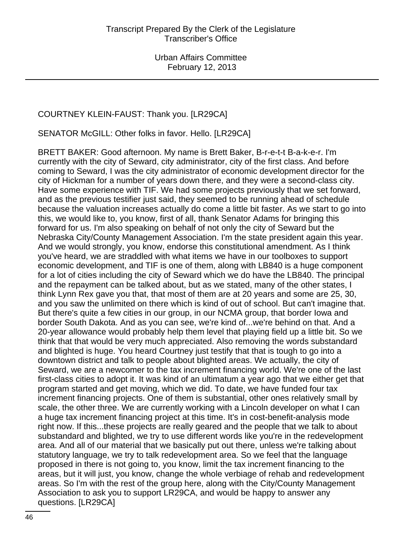### COURTNEY KLEIN-FAUST: Thank you. [LR29CA]

SENATOR McGILL: Other folks in favor. Hello. [LR29CA]

BRETT BAKER: Good afternoon. My name is Brett Baker, B-r-e-t-t B-a-k-e-r. I'm currently with the city of Seward, city administrator, city of the first class. And before coming to Seward, I was the city administrator of economic development director for the city of Hickman for a number of years down there, and they were a second-class city. Have some experience with TIF. We had some projects previously that we set forward, and as the previous testifier just said, they seemed to be running ahead of schedule because the valuation increases actually do come a little bit faster. As we start to go into this, we would like to, you know, first of all, thank Senator Adams for bringing this forward for us. I'm also speaking on behalf of not only the city of Seward but the Nebraska City/County Management Association. I'm the state president again this year. And we would strongly, you know, endorse this constitutional amendment. As I think you've heard, we are straddled with what items we have in our toolboxes to support economic development, and TIF is one of them, along with LB840 is a huge component for a lot of cities including the city of Seward which we do have the LB840. The principal and the repayment can be talked about, but as we stated, many of the other states, I think Lynn Rex gave you that, that most of them are at 20 years and some are 25, 30, and you saw the unlimited on there which is kind of out of school. But can't imagine that. But there's quite a few cities in our group, in our NCMA group, that border Iowa and border South Dakota. And as you can see, we're kind of...we're behind on that. And a 20-year allowance would probably help them level that playing field up a little bit. So we think that that would be very much appreciated. Also removing the words substandard and blighted is huge. You heard Courtney just testify that that is tough to go into a downtown district and talk to people about blighted areas. We actually, the city of Seward, we are a newcomer to the tax increment financing world. We're one of the last first-class cities to adopt it. It was kind of an ultimatum a year ago that we either get that program started and get moving, which we did. To date, we have funded four tax increment financing projects. One of them is substantial, other ones relatively small by scale, the other three. We are currently working with a Lincoln developer on what I can a huge tax increment financing project at this time. It's in cost-benefit-analysis mode right now. If this...these projects are really geared and the people that we talk to about substandard and blighted, we try to use different words like you're in the redevelopment area. And all of our material that we basically put out there, unless we're talking about statutory language, we try to talk redevelopment area. So we feel that the language proposed in there is not going to, you know, limit the tax increment financing to the areas, but it will just, you know, change the whole verbiage of rehab and redevelopment areas. So I'm with the rest of the group here, along with the City/County Management Association to ask you to support LR29CA, and would be happy to answer any questions. [LR29CA]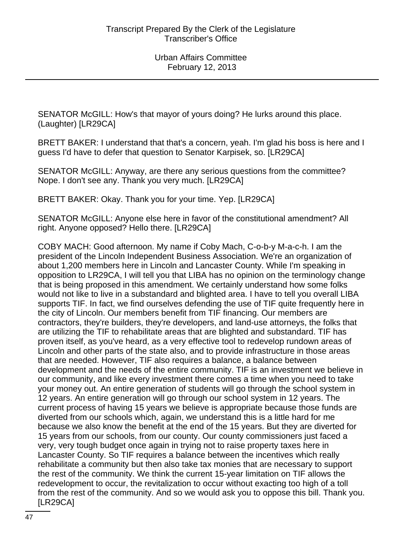SENATOR McGILL: How's that mayor of yours doing? He lurks around this place. (Laughter) [LR29CA]

BRETT BAKER: I understand that that's a concern, yeah. I'm glad his boss is here and I guess I'd have to defer that question to Senator Karpisek, so. [LR29CA]

SENATOR McGILL: Anyway, are there any serious questions from the committee? Nope. I don't see any. Thank you very much. [LR29CA]

BRETT BAKER: Okay. Thank you for your time. Yep. [LR29CA]

SENATOR McGILL: Anyone else here in favor of the constitutional amendment? All right. Anyone opposed? Hello there. [LR29CA]

COBY MACH: Good afternoon. My name if Coby Mach, C-o-b-y M-a-c-h. I am the president of the Lincoln Independent Business Association. We're an organization of about 1,200 members here in Lincoln and Lancaster County. While I'm speaking in opposition to LR29CA, I will tell you that LIBA has no opinion on the terminology change that is being proposed in this amendment. We certainly understand how some folks would not like to live in a substandard and blighted area. I have to tell you overall LIBA supports TIF. In fact, we find ourselves defending the use of TIF quite frequently here in the city of Lincoln. Our members benefit from TIF financing. Our members are contractors, they're builders, they're developers, and land-use attorneys, the folks that are utilizing the TIF to rehabilitate areas that are blighted and substandard. TIF has proven itself, as you've heard, as a very effective tool to redevelop rundown areas of Lincoln and other parts of the state also, and to provide infrastructure in those areas that are needed. However, TIF also requires a balance, a balance between development and the needs of the entire community. TIF is an investment we believe in our community, and like every investment there comes a time when you need to take your money out. An entire generation of students will go through the school system in 12 years. An entire generation will go through our school system in 12 years. The current process of having 15 years we believe is appropriate because those funds are diverted from our schools which, again, we understand this is a little hard for me because we also know the benefit at the end of the 15 years. But they are diverted for 15 years from our schools, from our county. Our county commissioners just faced a very, very tough budget once again in trying not to raise property taxes here in Lancaster County. So TIF requires a balance between the incentives which really rehabilitate a community but then also take tax monies that are necessary to support the rest of the community. We think the current 15-year limitation on TIF allows the redevelopment to occur, the revitalization to occur without exacting too high of a toll from the rest of the community. And so we would ask you to oppose this bill. Thank you. [LR29CA]